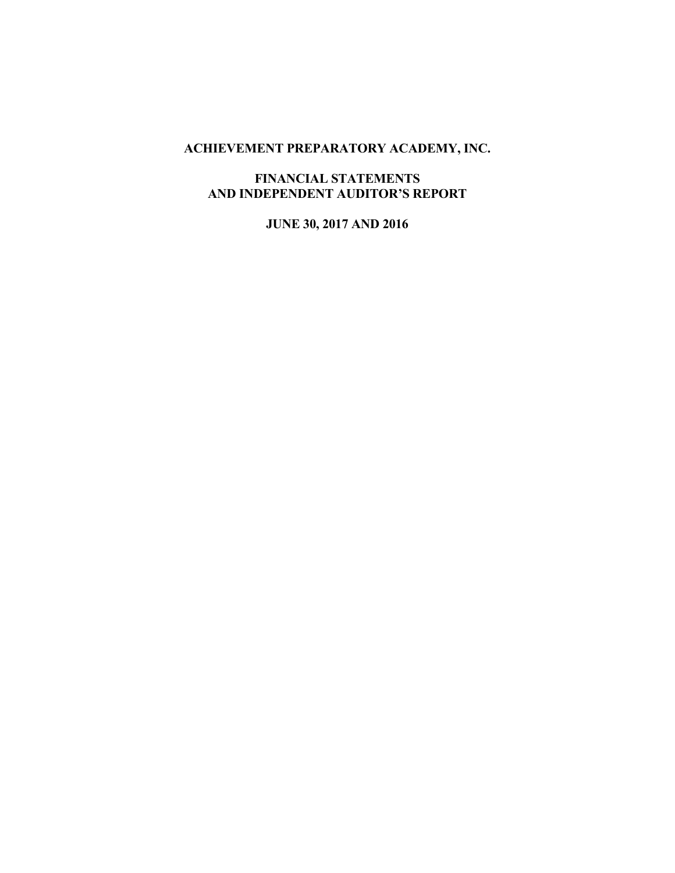# **ACHIEVEMENT PREPARATORY ACADEMY, INC.**

# **FINANCIAL STATEMENTS AND INDEPENDENT AUDITOR'S REPORT**

**JUNE 30, 2017 AND 2016**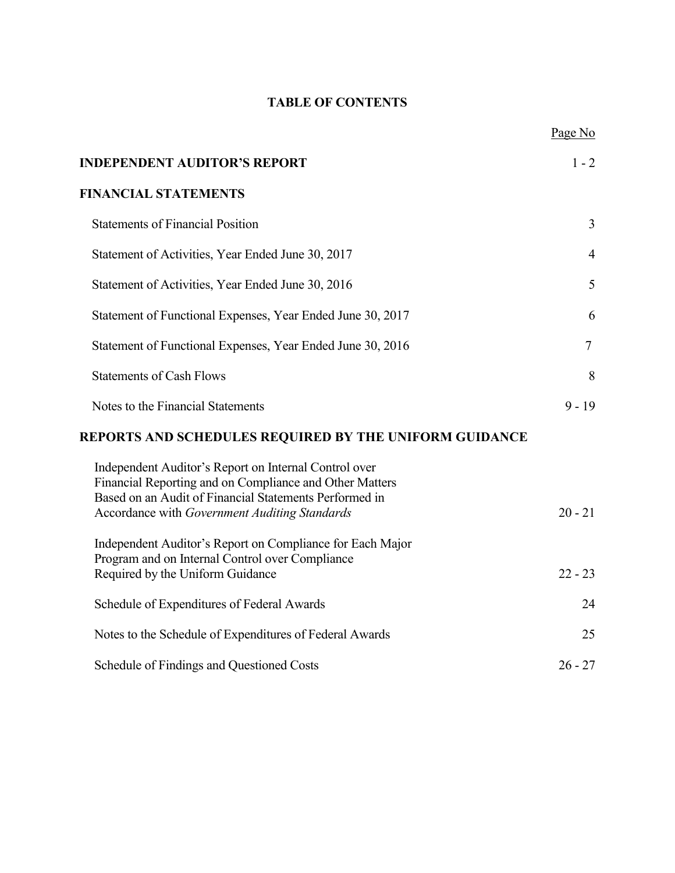# **TABLE OF CONTENTS**

|                                                                                                                                                                                                                             | Page No   |
|-----------------------------------------------------------------------------------------------------------------------------------------------------------------------------------------------------------------------------|-----------|
| <b>INDEPENDENT AUDITOR'S REPORT</b>                                                                                                                                                                                         | $1 - 2$   |
| <b>FINANCIAL STATEMENTS</b>                                                                                                                                                                                                 |           |
| <b>Statements of Financial Position</b>                                                                                                                                                                                     | 3         |
| Statement of Activities, Year Ended June 30, 2017                                                                                                                                                                           | 4         |
| Statement of Activities, Year Ended June 30, 2016                                                                                                                                                                           | 5         |
| Statement of Functional Expenses, Year Ended June 30, 2017                                                                                                                                                                  | 6         |
| Statement of Functional Expenses, Year Ended June 30, 2016                                                                                                                                                                  | $\tau$    |
| <b>Statements of Cash Flows</b>                                                                                                                                                                                             | 8         |
| Notes to the Financial Statements                                                                                                                                                                                           | $9 - 19$  |
| REPORTS AND SCHEDULES REQUIRED BY THE UNIFORM GUIDANCE                                                                                                                                                                      |           |
| Independent Auditor's Report on Internal Control over<br>Financial Reporting and on Compliance and Other Matters<br>Based on an Audit of Financial Statements Performed in<br>Accordance with Government Auditing Standards | $20 - 21$ |
| Independent Auditor's Report on Compliance for Each Major<br>Program and on Internal Control over Compliance<br>Required by the Uniform Guidance                                                                            | $22 - 23$ |
| Schedule of Expenditures of Federal Awards                                                                                                                                                                                  | 24        |
| Notes to the Schedule of Expenditures of Federal Awards                                                                                                                                                                     | 25        |
| Schedule of Findings and Questioned Costs                                                                                                                                                                                   | $26 - 27$ |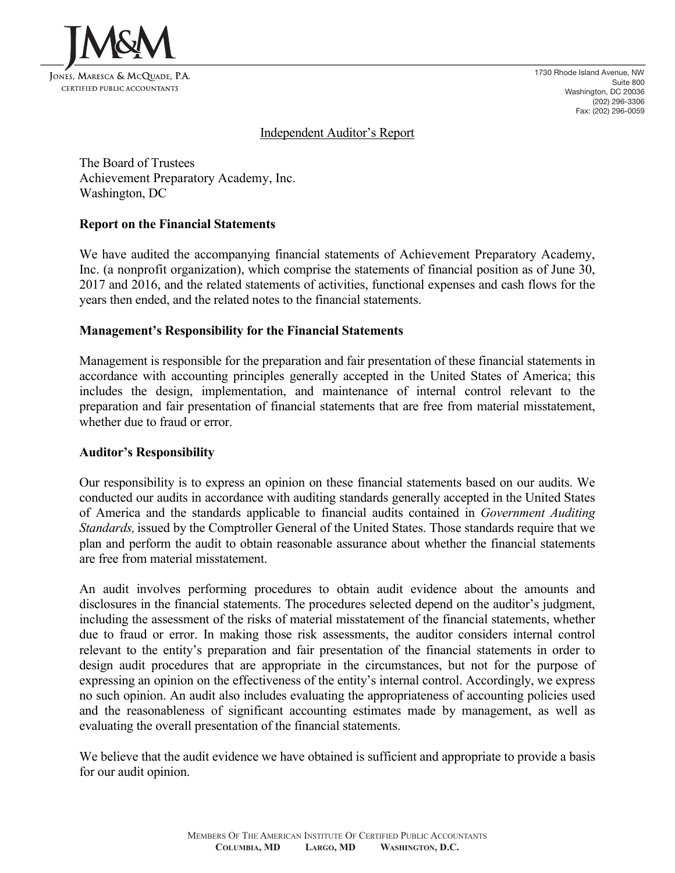

1730 Rhode Island Avenue, NW Suite 800 Washington, DC 20036 (202) 296-3306 Fax: (202) 296-0059

# Independent Auditor's Report

The Board of Trustees Achievement Preparatory Academy, Inc. Washington, DC

## **Report on the Financial Statements**

We have audited the accompanying financial statements of Achievement Preparatory Academy, Inc. (a nonprofit organization), which comprise the statements of financial position as of June 30, 2017 and 2016, and the related statements of activities, functional expenses and cash flows for the years then ended, and the related notes to the financial statements.

### **Management's Responsibility for the Financial Statements**

Management is responsible for the preparation and fair presentation of these financial statements in accordance with accounting principles generally accepted in the United States of America; this includes the design, implementation, and maintenance of internal control relevant to the preparation and fair presentation of financial statements that are free from material misstatement, whether due to fraud or error.

### **Auditor's Responsibility**

Our responsibility is to express an opinion on these financial statements based on our audits. We conducted our audits in accordance with auditing standards generally accepted in the United States of America and the standards applicable to financial audits contained in *Government Auditing Standards,* issued by the Comptroller General of the United States. Those standards require that we plan and perform the audit to obtain reasonable assurance about whether the financial statements are free from material misstatement.

An audit involves performing procedures to obtain audit evidence about the amounts and disclosures in the financial statements. The procedures selected depend on the auditor's judgment, including the assessment of the risks of material misstatement of the financial statements, whether due to fraud or error. In making those risk assessments, the auditor considers internal control relevant to the entity's preparation and fair presentation of the financial statements in order to design audit procedures that are appropriate in the circumstances, but not for the purpose of expressing an opinion on the effectiveness of the entity's internal control. Accordingly, we express no such opinion. An audit also includes evaluating the appropriateness of accounting policies used and the reasonableness of significant accounting estimates made by management, as well as evaluating the overall presentation of the financial statements.

We believe that the audit evidence we have obtained is sufficient and appropriate to provide a basis for our audit opinion.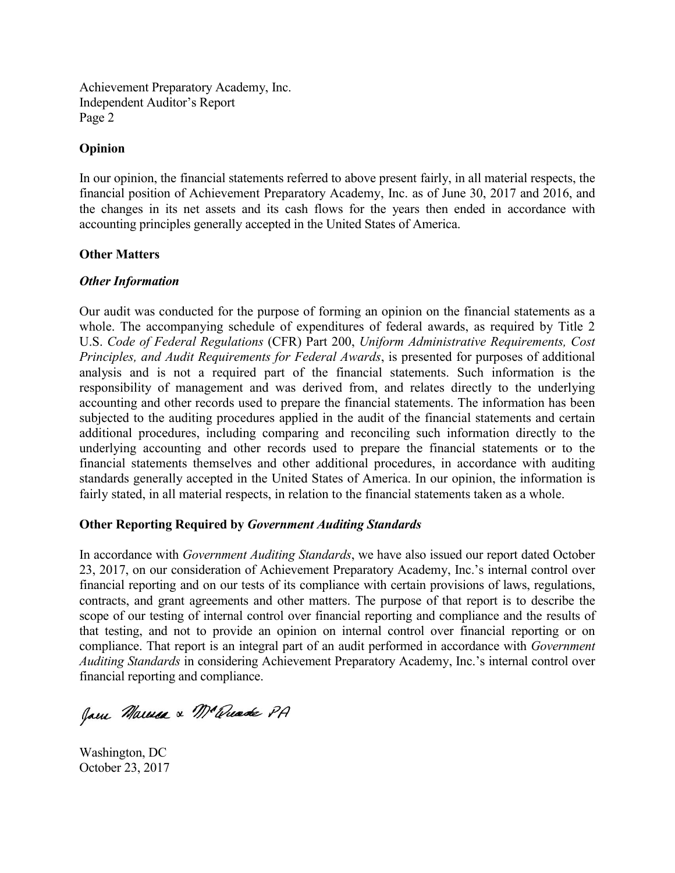Achievement Preparatory Academy, Inc. Independent Auditor's Report Page 2

# **Opinion**

In our opinion, the financial statements referred to above present fairly, in all material respects, the financial position of Achievement Preparatory Academy, Inc. as of June 30, 2017 and 2016, and the changes in its net assets and its cash flows for the years then ended in accordance with accounting principles generally accepted in the United States of America.

# **Other Matters**

# *Other Information*

Our audit was conducted for the purpose of forming an opinion on the financial statements as a whole. The accompanying schedule of expenditures of federal awards, as required by Title 2 U.S. *Code of Federal Regulations* (CFR) Part 200, *Uniform Administrative Requirements, Cost Principles, and Audit Requirements for Federal Awards*, is presented for purposes of additional analysis and is not a required part of the financial statements. Such information is the responsibility of management and was derived from, and relates directly to the underlying accounting and other records used to prepare the financial statements. The information has been subjected to the auditing procedures applied in the audit of the financial statements and certain additional procedures, including comparing and reconciling such information directly to the underlying accounting and other records used to prepare the financial statements or to the financial statements themselves and other additional procedures, in accordance with auditing standards generally accepted in the United States of America. In our opinion, the information is fairly stated, in all material respects, in relation to the financial statements taken as a whole.

# **Other Reporting Required by** *Government Auditing Standards*

In accordance with *Government Auditing Standards*, we have also issued our report dated October 23, 2017, on our consideration of Achievement Preparatory Academy, Inc.'s internal control over financial reporting and on our tests of its compliance with certain provisions of laws, regulations, contracts, and grant agreements and other matters. The purpose of that report is to describe the scope of our testing of internal control over financial reporting and compliance and the results of that testing, and not to provide an opinion on internal control over financial reporting or on compliance. That report is an integral part of an audit performed in accordance with *Government Auditing Standards* in considering Achievement Preparatory Academy, Inc.'s internal control over financial reporting and compliance.

Jam Marusa & Mc Quade PA

Washington, DC October 23, 2017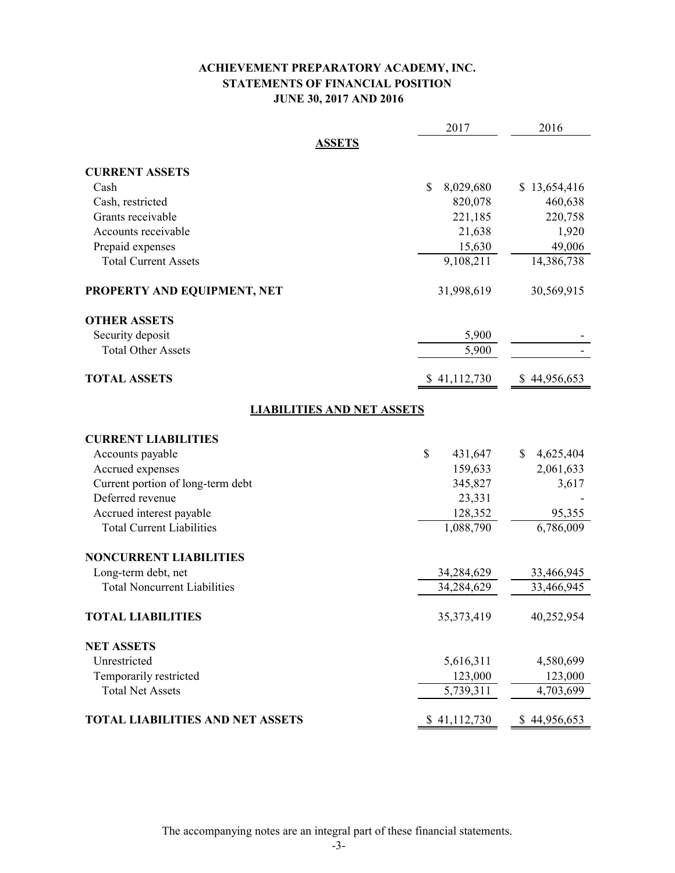# **ACHIEVEMENT PREPARATORY ACADEMY, INC. STATEMENTS OF FINANCIAL POSITION JUNE 30, 2017 AND 2016**

|                                         | 2017                      | 2016            |
|-----------------------------------------|---------------------------|-----------------|
| <b>ASSETS</b>                           |                           |                 |
| <b>CURRENT ASSETS</b>                   |                           |                 |
| Cash                                    | $\mathbb{S}$<br>8,029,680 | \$13,654,416    |
| Cash, restricted                        | 820,078                   | 460,638         |
| Grants receivable                       | 221,185                   | 220,758         |
| Accounts receivable                     | 21,638                    | 1,920           |
| Prepaid expenses                        | 15,630                    | 49,006          |
| <b>Total Current Assets</b>             | 9,108,211                 | 14,386,738      |
| PROPERTY AND EQUIPMENT, NET             | 31,998,619                | 30,569,915      |
| <b>OTHER ASSETS</b>                     |                           |                 |
| Security deposit                        | 5,900                     |                 |
| <b>Total Other Assets</b>               | 5,900                     |                 |
| <b>TOTAL ASSETS</b>                     | 41,112,730                | 44,956,653      |
| <b>LIABILITIES AND NET ASSETS</b>       |                           |                 |
| <b>CURRENT LIABILITIES</b>              |                           |                 |
| Accounts payable                        | \$<br>431,647             | 4,625,404<br>\$ |
| Accrued expenses                        | 159,633                   | 2,061,633       |
| Current portion of long-term debt       | 345,827                   | 3,617           |
| Deferred revenue                        | 23,331                    |                 |
| Accrued interest payable                | 128,352                   | 95,355          |
| <b>Total Current Liabilities</b>        | 1,088,790                 | 6,786,009       |
| <b>NONCURRENT LIABILITIES</b>           |                           |                 |
| Long-term debt, net                     | 34,284,629                | 33,466,945      |
| <b>Total Noncurrent Liabilities</b>     | 34,284,629                | 33,466,945      |
| <b>TOTAL LIABILITIES</b>                | 35, 373, 419              | 40,252,954      |
| <b>NET ASSETS</b>                       |                           |                 |
| Unrestricted                            | 5,616,311                 | 4,580,699       |
| Temporarily restricted                  | 123,000                   | 123,000         |
| <b>Total Net Assets</b>                 | 5,739,311                 | 4,703,699       |
| <b>TOTAL LIABILITIES AND NET ASSETS</b> | \$41,112,730              | \$44,956,653    |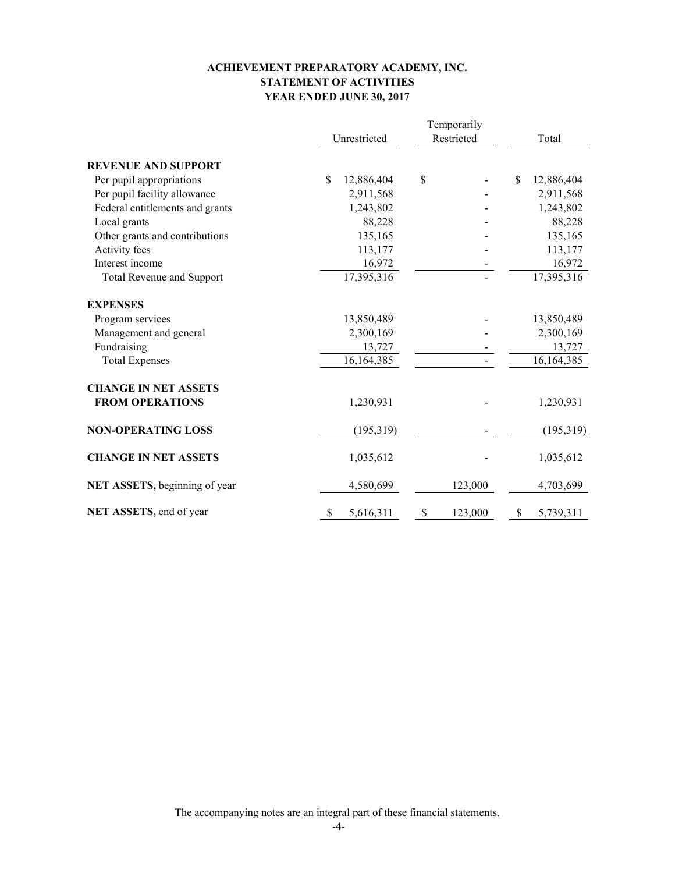## **ACHIEVEMENT PREPARATORY ACADEMY, INC. STATEMENT OF ACTIVITIES YEAR ENDED JUNE 30, 2017**

|                                 |                  | Temporarily   |                           |
|---------------------------------|------------------|---------------|---------------------------|
|                                 | Unrestricted     | Restricted    | Total                     |
| <b>REVENUE AND SUPPORT</b>      |                  |               |                           |
| Per pupil appropriations        | \$<br>12,886,404 | \$            | $\mathbf S$<br>12,886,404 |
| Per pupil facility allowance    | 2,911,568        |               | 2,911,568                 |
| Federal entitlements and grants | 1,243,802        |               | 1,243,802                 |
| Local grants                    | 88,228           |               | 88,228                    |
| Other grants and contributions  | 135,165          |               | 135,165                   |
| Activity fees                   | 113,177          |               | 113,177                   |
| Interest income                 | 16,972           |               | 16,972                    |
| Total Revenue and Support       | 17,395,316       |               | 17,395,316                |
| <b>EXPENSES</b>                 |                  |               |                           |
| Program services                | 13,850,489       |               | 13,850,489                |
| Management and general          | 2,300,169        |               | 2,300,169                 |
| Fundraising                     | 13,727           |               | 13,727                    |
| <b>Total Expenses</b>           | 16,164,385       |               | 16,164,385                |
| <b>CHANGE IN NET ASSETS</b>     |                  |               |                           |
| <b>FROM OPERATIONS</b>          | 1,230,931        |               | 1,230,931                 |
| <b>NON-OPERATING LOSS</b>       | (195, 319)       |               | (195,319)                 |
| <b>CHANGE IN NET ASSETS</b>     | 1,035,612        |               | 1,035,612                 |
| NET ASSETS, beginning of year   | 4,580,699        | 123,000       | 4,703,699                 |
| NET ASSETS, end of year         | \$<br>5,616,311  | \$<br>123,000 | \$<br>5,739,311           |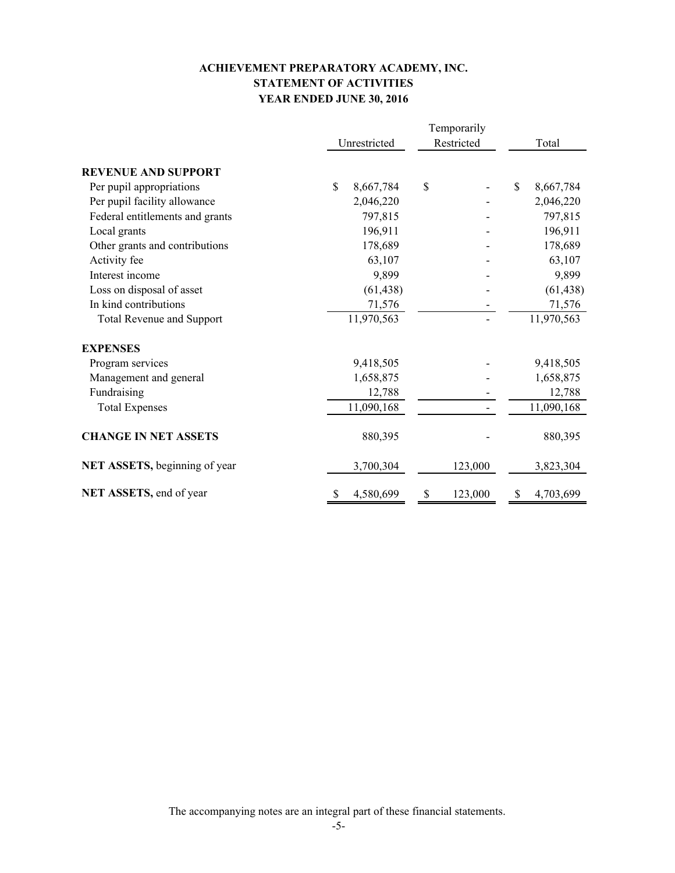# **ACHIEVEMENT PREPARATORY ACADEMY, INC. STATEMENT OF ACTIVITIES YEAR ENDED JUNE 30, 2016**

|                                  | Unrestricted              | Temporarily<br>Restricted | Total           |
|----------------------------------|---------------------------|---------------------------|-----------------|
|                                  |                           |                           |                 |
| <b>REVENUE AND SUPPORT</b>       |                           |                           |                 |
| Per pupil appropriations         | $\mathbb{S}$<br>8,667,784 | \$                        | \$<br>8,667,784 |
| Per pupil facility allowance     | 2,046,220                 |                           | 2,046,220       |
| Federal entitlements and grants  | 797,815                   |                           | 797,815         |
| Local grants                     | 196,911                   |                           | 196,911         |
| Other grants and contributions   | 178,689                   |                           | 178,689         |
| Activity fee                     | 63,107                    |                           | 63,107          |
| Interest income                  | 9,899                     |                           | 9,899           |
| Loss on disposal of asset        | (61, 438)                 |                           | (61, 438)       |
| In kind contributions            | 71,576                    |                           | 71,576          |
| <b>Total Revenue and Support</b> | 11,970,563                |                           | 11,970,563      |
| <b>EXPENSES</b>                  |                           |                           |                 |
| Program services                 | 9,418,505                 |                           | 9,418,505       |
| Management and general           | 1,658,875                 |                           | 1,658,875       |
| Fundraising                      | 12,788                    |                           | 12,788          |
| <b>Total Expenses</b>            | 11,090,168                |                           | 11,090,168      |
| <b>CHANGE IN NET ASSETS</b>      | 880,395                   |                           | 880,395         |
| NET ASSETS, beginning of year    | 3,700,304                 | 123,000                   | 3,823,304       |
| NET ASSETS, end of year          | 4,580,699<br>\$           | 123,000<br>\$             | 4,703,699<br>\$ |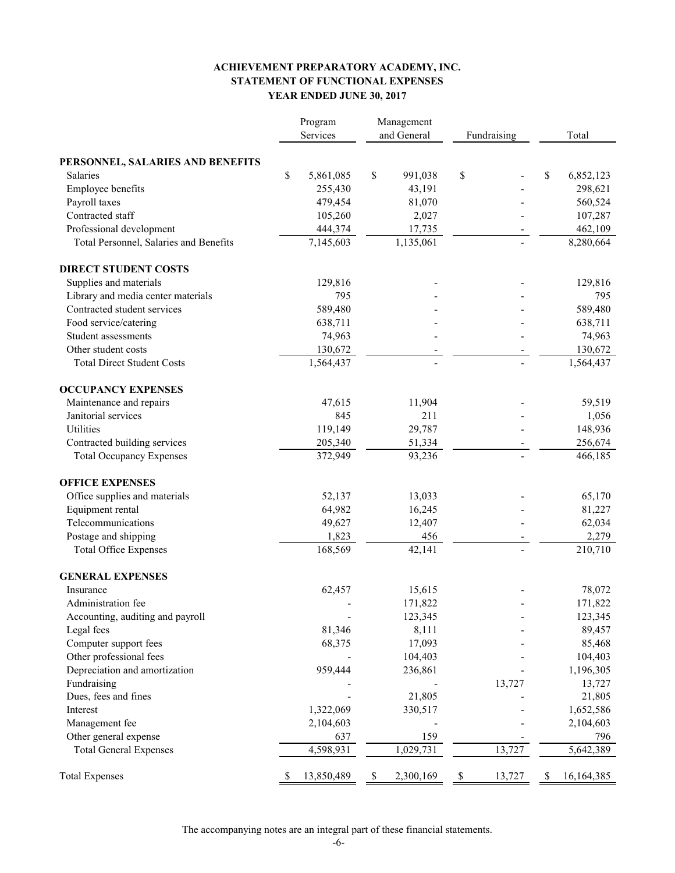### **ACHIEVEMENT PREPARATORY ACADEMY, INC. STATEMENT OF FUNCTIONAL EXPENSES YEAR ENDED JUNE 30, 2017**

|                                        |    | Program    | Management      |             |             |                  |
|----------------------------------------|----|------------|-----------------|-------------|-------------|------------------|
|                                        |    | Services   | and General     |             | Fundraising | Total            |
| PERSONNEL, SALARIES AND BENEFITS       |    |            |                 |             |             |                  |
| <b>Salaries</b>                        | \$ | 5,861,085  | \$<br>991,038   | \$          |             | \$<br>6,852,123  |
| Employee benefits                      |    | 255,430    | 43,191          |             |             | 298,621          |
| Payroll taxes                          |    | 479,454    | 81,070          |             |             | 560,524          |
| Contracted staff                       |    | 105,260    | 2,027           |             |             | 107,287          |
| Professional development               |    | 444,374    | 17,735          |             |             | 462,109          |
| Total Personnel, Salaries and Benefits |    | 7,145,603  | 1,135,061       |             |             | 8,280,664        |
| <b>DIRECT STUDENT COSTS</b>            |    |            |                 |             |             |                  |
| Supplies and materials                 |    | 129,816    |                 |             |             | 129,816          |
| Library and media center materials     |    | 795        |                 |             |             | 795              |
| Contracted student services            |    | 589,480    |                 |             |             | 589,480          |
| Food service/catering                  |    | 638,711    |                 |             |             | 638,711          |
| Student assessments                    |    | 74,963     |                 |             |             | 74,963           |
| Other student costs                    |    | 130,672    |                 |             |             | 130,672          |
| <b>Total Direct Student Costs</b>      |    | 1,564,437  |                 |             |             | 1,564,437        |
| <b>OCCUPANCY EXPENSES</b>              |    |            |                 |             |             |                  |
| Maintenance and repairs                |    | 47,615     | 11,904          |             |             | 59,519           |
| Janitorial services                    |    | 845        | 211             |             |             | 1,056            |
| Utilities                              |    | 119,149    | 29,787          |             |             | 148,936          |
| Contracted building services           |    | 205,340    | 51,334          |             |             | 256,674          |
| <b>Total Occupancy Expenses</b>        |    | 372,949    | 93,236          |             |             | 466,185          |
| <b>OFFICE EXPENSES</b>                 |    |            |                 |             |             |                  |
| Office supplies and materials          |    | 52,137     | 13,033          |             |             | 65,170           |
| Equipment rental                       |    | 64,982     | 16,245          |             |             | 81,227           |
| Telecommunications                     |    | 49,627     | 12,407          |             |             | 62,034           |
| Postage and shipping                   |    | 1,823      | 456             |             |             | 2,279            |
| <b>Total Office Expenses</b>           |    | 168,569    | 42,141          |             |             | 210,710          |
| <b>GENERAL EXPENSES</b>                |    |            |                 |             |             |                  |
| Insurance                              |    | 62,457     | 15,615          |             |             | 78,072           |
| Administration fee                     |    |            | 171,822         |             |             | 171,822          |
| Accounting, auditing and payroll       |    |            | 123,345         |             |             | 123,345          |
| Legal fees                             |    | 81,346     | 8,111           |             |             | 89,457           |
| Computer support fees                  |    | 68,375     | 17,093          |             |             | 85,468           |
| Other professional fees                |    |            | 104,403         |             |             | 104,403          |
| Depreciation and amortization          |    | 959,444    | 236,861         |             |             | 1,196,305        |
| Fundraising                            |    |            |                 |             | 13,727      | 13,727           |
| Dues, fees and fines                   |    |            | 21,805          |             |             | 21,805           |
| Interest                               |    | 1,322,069  | 330,517         |             |             | 1,652,586        |
| Management fee                         |    | 2,104,603  |                 |             |             | 2,104,603        |
| Other general expense                  |    | 637        | 159             |             |             | 796              |
| <b>Total General Expenses</b>          |    | 4,598,931  | 1,029,731       |             | 13,727      | 5,642,389        |
| <b>Total Expenses</b>                  | S  | 13,850,489 | \$<br>2,300,169 | $\mathbb S$ | 13,727      | \$<br>16,164,385 |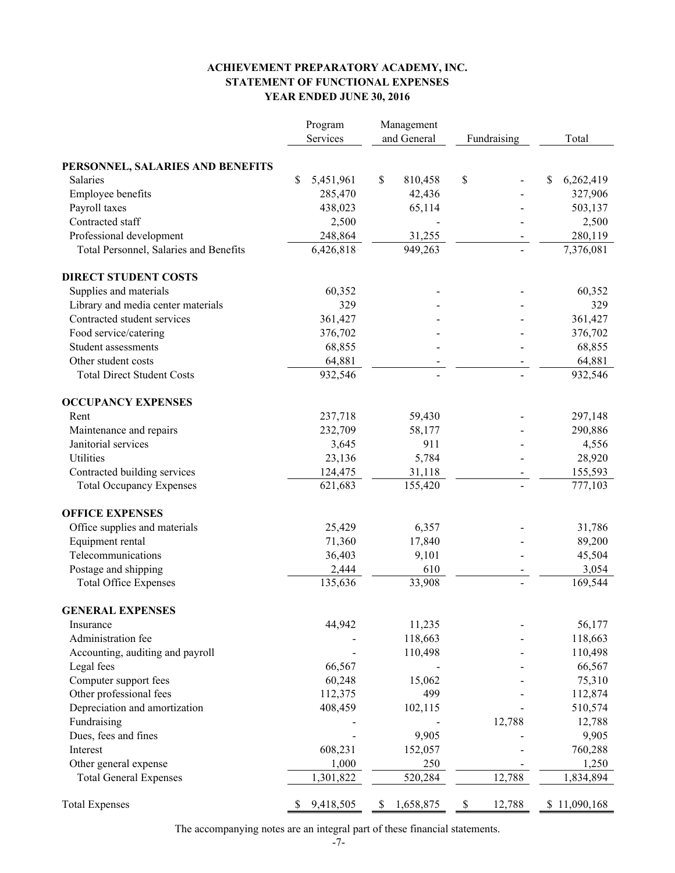## **ACHIEVEMENT PREPARATORY ACADEMY, INC. STATEMENT OF FUNCTIONAL EXPENSES YEAR ENDED JUNE 30, 2016**

|                                              | Program              | Management      |              |                      |
|----------------------------------------------|----------------------|-----------------|--------------|----------------------|
|                                              | Services             | and General     | Fundraising  | Total                |
|                                              |                      |                 |              |                      |
| PERSONNEL, SALARIES AND BENEFITS<br>Salaries | \$                   | \$<br>810,458   | \$           | S                    |
| Employee benefits                            | 5,451,961<br>285,470 | 42,436          |              | 6,262,419<br>327,906 |
|                                              |                      |                 |              |                      |
| Payroll taxes<br>Contracted staff            | 438,023              | 65,114          |              | 503,137              |
|                                              | 2,500                |                 |              | 2,500                |
| Professional development                     | 248,864              | 31,255          |              | 280,119              |
| Total Personnel, Salaries and Benefits       | 6,426,818            | 949,263         |              | 7,376,081            |
| <b>DIRECT STUDENT COSTS</b>                  |                      |                 |              |                      |
| Supplies and materials                       | 60,352               |                 |              | 60,352               |
| Library and media center materials           | 329                  |                 |              | 329                  |
| Contracted student services                  | 361,427              |                 |              | 361,427              |
| Food service/catering                        | 376,702              |                 |              | 376,702              |
| Student assessments                          | 68,855               |                 |              | 68,855               |
| Other student costs                          | 64,881               |                 |              | 64,881               |
| <b>Total Direct Student Costs</b>            | 932,546              |                 |              | 932,546              |
| <b>OCCUPANCY EXPENSES</b>                    |                      |                 |              |                      |
| Rent                                         | 237,718              | 59,430          |              | 297,148              |
| Maintenance and repairs                      | 232,709              | 58,177          |              | 290,886              |
| Janitorial services                          | 3,645                | 911             |              | 4,556                |
| Utilities                                    | 23,136               | 5,784           |              | 28,920               |
| Contracted building services                 | 124,475              | 31,118          |              | 155,593              |
| <b>Total Occupancy Expenses</b>              | 621,683              | 155,420         |              | 777,103              |
| <b>OFFICE EXPENSES</b>                       |                      |                 |              |                      |
|                                              |                      |                 |              |                      |
| Office supplies and materials                | 25,429               | 6,357           |              | 31,786               |
| Equipment rental                             | 71,360               | 17,840          |              | 89,200               |
| Telecommunications                           | 36,403               | 9,101           |              | 45,504               |
| Postage and shipping                         | 2,444                | 610             |              | 3,054                |
| <b>Total Office Expenses</b>                 | 135,636              | 33,908          |              | 169,544              |
| <b>GENERAL EXPENSES</b>                      |                      |                 |              |                      |
| Insurance                                    | 44,942               | 11,235          |              | 56,177               |
| Administration fee                           |                      | 118,663         |              | 118,663              |
| Accounting, auditing and payroll             |                      | 110,498         |              | 110,498              |
| Legal fees                                   | 66,567               |                 |              | 66,567               |
| Computer support fees                        | 60,248               | 15,062          |              | 75,310               |
| Other professional fees                      | 112,375              | 499             |              | 112,874              |
| Depreciation and amortization                | 408,459              | 102,115         |              | 510,574              |
| Fundraising                                  |                      |                 | 12,788       | 12,788               |
| Dues, fees and fines                         |                      | 9,905           |              | 9,905                |
| Interest                                     | 608,231              | 152,057         |              | 760,288              |
| Other general expense                        | 1,000                | 250             |              | 1,250                |
| <b>Total General Expenses</b>                | 1,301,822            | 520,284         | 12,788       | 1,834,894            |
| <b>Total Expenses</b>                        | 9,418,505<br>\$      | 1,658,875<br>\$ | \$<br>12,788 | \$11,090,168         |
|                                              |                      |                 |              |                      |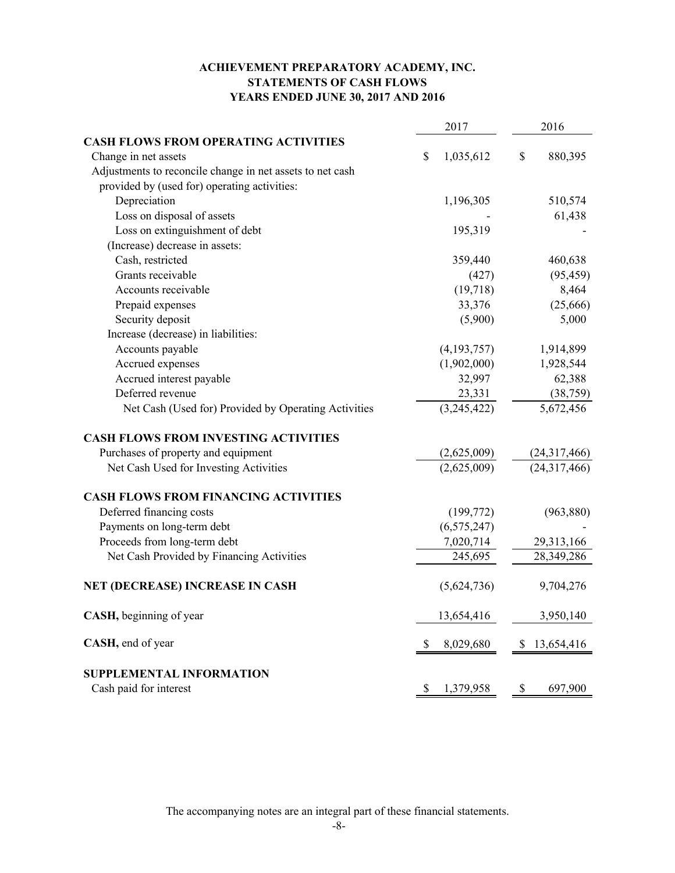# **ACHIEVEMENT PREPARATORY ACADEMY, INC. STATEMENTS OF CASH FLOWS YEARS ENDED JUNE 30, 2017 AND 2016**

|                                                           |    | 2017          | 2016             |
|-----------------------------------------------------------|----|---------------|------------------|
| <b>CASH FLOWS FROM OPERATING ACTIVITIES</b>               |    |               |                  |
| Change in net assets                                      | \$ | 1,035,612     | \$<br>880,395    |
| Adjustments to reconcile change in net assets to net cash |    |               |                  |
| provided by (used for) operating activities:              |    |               |                  |
| Depreciation                                              |    | 1,196,305     | 510,574          |
| Loss on disposal of assets                                |    |               | 61,438           |
| Loss on extinguishment of debt                            |    | 195,319       |                  |
| (Increase) decrease in assets:                            |    |               |                  |
| Cash, restricted                                          |    | 359,440       | 460,638          |
| Grants receivable                                         |    | (427)         | (95, 459)        |
| Accounts receivable                                       |    | (19, 718)     | 8,464            |
| Prepaid expenses                                          |    | 33,376        | (25,666)         |
| Security deposit                                          |    | (5,900)       | 5,000            |
| Increase (decrease) in liabilities:                       |    |               |                  |
| Accounts payable                                          |    | (4,193,757)   | 1,914,899        |
| Accrued expenses                                          |    | (1,902,000)   | 1,928,544        |
| Accrued interest payable                                  |    | 32,997        | 62,388           |
| Deferred revenue                                          |    | 23,331        | (38, 759)        |
| Net Cash (Used for) Provided by Operating Activities      |    | (3,245,422)   | 5,672,456        |
| <b>CASH FLOWS FROM INVESTING ACTIVITIES</b>               |    |               |                  |
| Purchases of property and equipment                       |    | (2,625,009)   | (24,317,466)     |
| Net Cash Used for Investing Activities                    |    | (2,625,009)   | (24,317,466)     |
| <b>CASH FLOWS FROM FINANCING ACTIVITIES</b>               |    |               |                  |
| Deferred financing costs                                  |    | (199, 772)    | (963, 880)       |
| Payments on long-term debt                                |    | (6, 575, 247) |                  |
| Proceeds from long-term debt                              |    | 7,020,714     | 29,313,166       |
| Net Cash Provided by Financing Activities                 |    | 245,695       | 28,349,286       |
| NET (DECREASE) INCREASE IN CASH                           |    | (5,624,736)   | 9,704,276        |
| CASH, beginning of year                                   |    | 13,654,416    | 3,950,140        |
| CASH, end of year                                         | S  | 8,029,680     | \$<br>13,654,416 |
| SUPPLEMENTAL INFORMATION                                  |    |               |                  |
| Cash paid for interest                                    | \$ | 1,379,958     | \$<br>697,900    |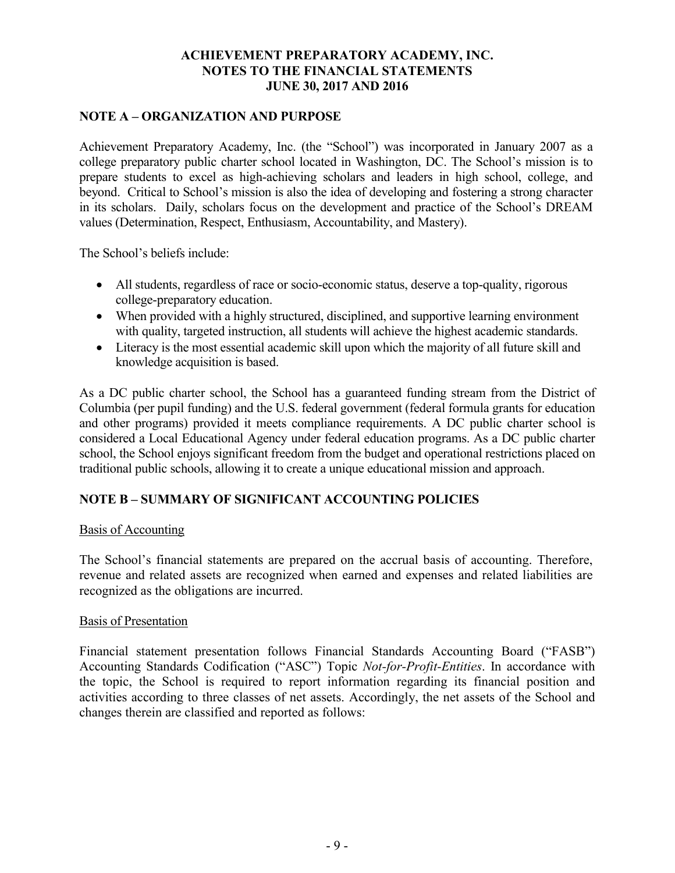# **NOTE A – ORGANIZATION AND PURPOSE**

Achievement Preparatory Academy, Inc. (the "School") was incorporated in January 2007 as a college preparatory public charter school located in Washington, DC. The School's mission is to prepare students to excel as high-achieving scholars and leaders in high school, college, and beyond. Critical to School's mission is also the idea of developing and fostering a strong character in its scholars. Daily, scholars focus on the development and practice of the School's DREAM values (Determination, Respect, Enthusiasm, Accountability, and Mastery).

The School's beliefs include:

- All students, regardless of race or socio-economic status, deserve a top-quality, rigorous college-preparatory education.
- When provided with a highly structured, disciplined, and supportive learning environment with quality, targeted instruction, all students will achieve the highest academic standards.
- Literacy is the most essential academic skill upon which the majority of all future skill and knowledge acquisition is based.

As a DC public charter school, the School has a guaranteed funding stream from the District of Columbia (per pupil funding) and the U.S. federal government (federal formula grants for education and other programs) provided it meets compliance requirements. A DC public charter school is considered a Local Educational Agency under federal education programs. As a DC public charter school, the School enjoys significant freedom from the budget and operational restrictions placed on traditional public schools, allowing it to create a unique educational mission and approach.

# **NOTE B – SUMMARY OF SIGNIFICANT ACCOUNTING POLICIES**

### Basis of Accounting

The School's financial statements are prepared on the accrual basis of accounting. Therefore, revenue and related assets are recognized when earned and expenses and related liabilities are recognized as the obligations are incurred.

### Basis of Presentation

Financial statement presentation follows Financial Standards Accounting Board ("FASB") Accounting Standards Codification ("ASC") Topic *Not-for-Profit-Entities*. In accordance with the topic, the School is required to report information regarding its financial position and activities according to three classes of net assets. Accordingly, the net assets of the School and changes therein are classified and reported as follows: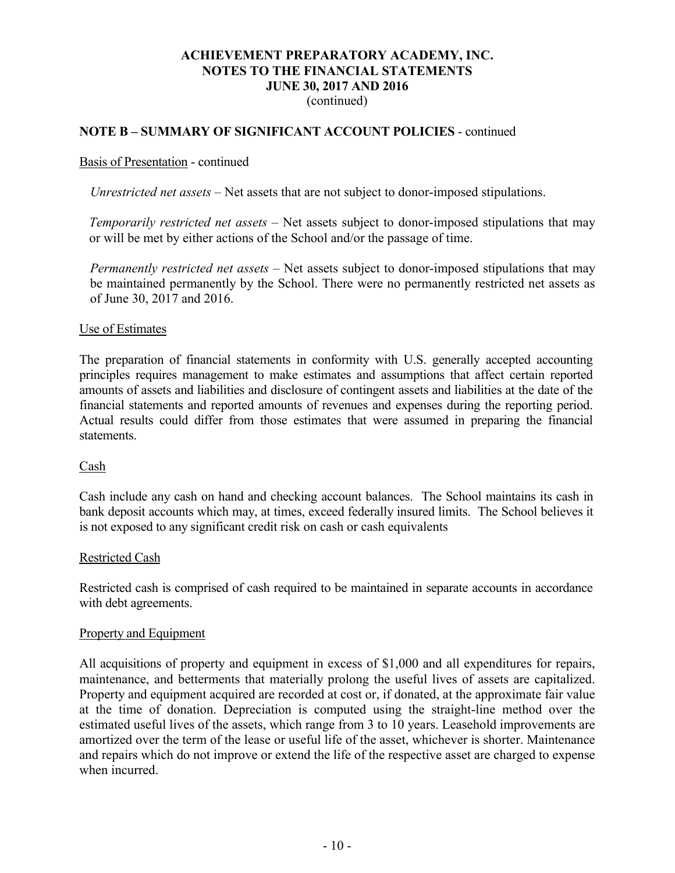# **NOTE B – SUMMARY OF SIGNIFICANT ACCOUNT POLICIES** - continued

### Basis of Presentation - continued

*Unrestricted net assets* – Net assets that are not subject to donor-imposed stipulations.

*Temporarily restricted net assets* – Net assets subject to donor-imposed stipulations that may or will be met by either actions of the School and/or the passage of time.

*Permanently restricted net assets* – Net assets subject to donor-imposed stipulations that may be maintained permanently by the School. There were no permanently restricted net assets as of June 30, 2017 and 2016.

### Use of Estimates

The preparation of financial statements in conformity with U.S. generally accepted accounting principles requires management to make estimates and assumptions that affect certain reported amounts of assets and liabilities and disclosure of contingent assets and liabilities at the date of the financial statements and reported amounts of revenues and expenses during the reporting period. Actual results could differ from those estimates that were assumed in preparing the financial statements.

# Cash

Cash include any cash on hand and checking account balances. The School maintains its cash in bank deposit accounts which may, at times, exceed federally insured limits. The School believes it is not exposed to any significant credit risk on cash or cash equivalents

### Restricted Cash

Restricted cash is comprised of cash required to be maintained in separate accounts in accordance with debt agreements.

### Property and Equipment

All acquisitions of property and equipment in excess of \$1,000 and all expenditures for repairs, maintenance, and betterments that materially prolong the useful lives of assets are capitalized. Property and equipment acquired are recorded at cost or, if donated, at the approximate fair value at the time of donation. Depreciation is computed using the straight-line method over the estimated useful lives of the assets, which range from 3 to 10 years. Leasehold improvements are amortized over the term of the lease or useful life of the asset, whichever is shorter. Maintenance and repairs which do not improve or extend the life of the respective asset are charged to expense when incurred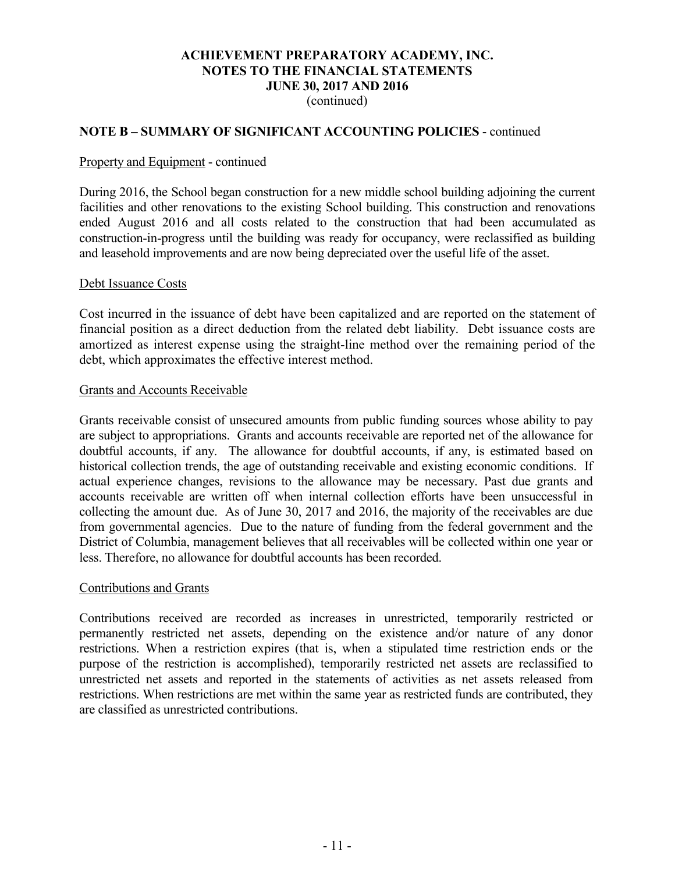# **NOTE B – SUMMARY OF SIGNIFICANT ACCOUNTING POLICIES** - continued

### Property and Equipment - continued

During 2016, the School began construction for a new middle school building adjoining the current facilities and other renovations to the existing School building. This construction and renovations ended August 2016 and all costs related to the construction that had been accumulated as construction-in-progress until the building was ready for occupancy, were reclassified as building and leasehold improvements and are now being depreciated over the useful life of the asset.

### Debt Issuance Costs

Cost incurred in the issuance of debt have been capitalized and are reported on the statement of financial position as a direct deduction from the related debt liability. Debt issuance costs are amortized as interest expense using the straight-line method over the remaining period of the debt, which approximates the effective interest method.

### Grants and Accounts Receivable

Grants receivable consist of unsecured amounts from public funding sources whose ability to pay are subject to appropriations. Grants and accounts receivable are reported net of the allowance for doubtful accounts, if any. The allowance for doubtful accounts, if any, is estimated based on historical collection trends, the age of outstanding receivable and existing economic conditions. If actual experience changes, revisions to the allowance may be necessary. Past due grants and accounts receivable are written off when internal collection efforts have been unsuccessful in collecting the amount due. As of June 30, 2017 and 2016, the majority of the receivables are due from governmental agencies. Due to the nature of funding from the federal government and the District of Columbia, management believes that all receivables will be collected within one year or less. Therefore, no allowance for doubtful accounts has been recorded.

### Contributions and Grants

Contributions received are recorded as increases in unrestricted, temporarily restricted or permanently restricted net assets, depending on the existence and/or nature of any donor restrictions. When a restriction expires (that is, when a stipulated time restriction ends or the purpose of the restriction is accomplished), temporarily restricted net assets are reclassified to unrestricted net assets and reported in the statements of activities as net assets released from restrictions. When restrictions are met within the same year as restricted funds are contributed, they are classified as unrestricted contributions.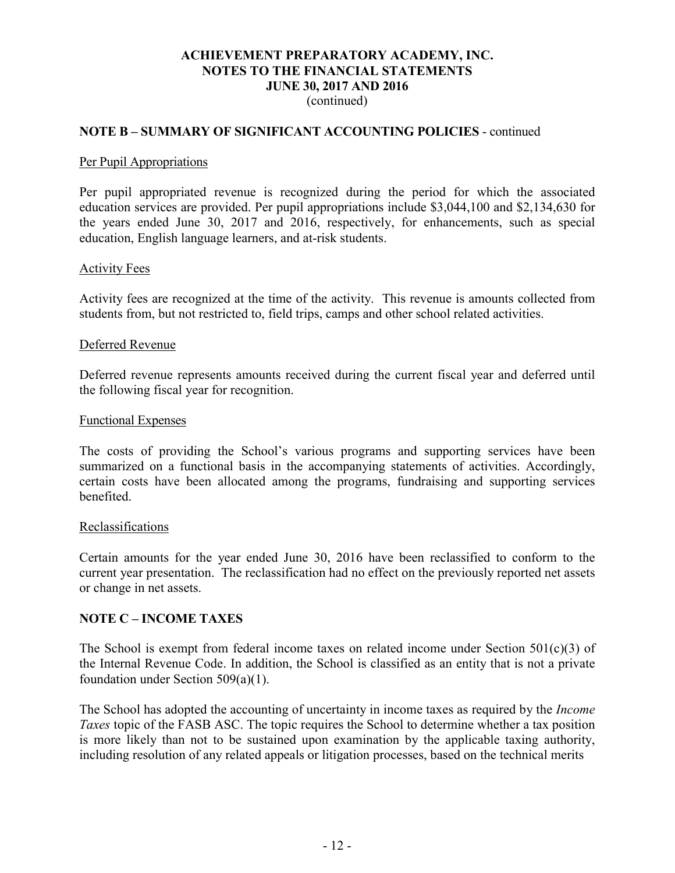### **NOTE B – SUMMARY OF SIGNIFICANT ACCOUNTING POLICIES** - continued

### Per Pupil Appropriations

Per pupil appropriated revenue is recognized during the period for which the associated education services are provided. Per pupil appropriations include \$3,044,100 and \$2,134,630 for the years ended June 30, 2017 and 2016, respectively, for enhancements, such as special education, English language learners, and at-risk students.

### Activity Fees

Activity fees are recognized at the time of the activity. This revenue is amounts collected from students from, but not restricted to, field trips, camps and other school related activities.

### Deferred Revenue

Deferred revenue represents amounts received during the current fiscal year and deferred until the following fiscal year for recognition.

### Functional Expenses

The costs of providing the School's various programs and supporting services have been summarized on a functional basis in the accompanying statements of activities. Accordingly, certain costs have been allocated among the programs, fundraising and supporting services benefited.

### Reclassifications

Certain amounts for the year ended June 30, 2016 have been reclassified to conform to the current year presentation. The reclassification had no effect on the previously reported net assets or change in net assets.

# **NOTE C – INCOME TAXES**

The School is exempt from federal income taxes on related income under Section 501(c)(3) of the Internal Revenue Code. In addition, the School is classified as an entity that is not a private foundation under Section 509(a)(1).

The School has adopted the accounting of uncertainty in income taxes as required by the *Income Taxes* topic of the FASB ASC. The topic requires the School to determine whether a tax position is more likely than not to be sustained upon examination by the applicable taxing authority, including resolution of any related appeals or litigation processes, based on the technical merits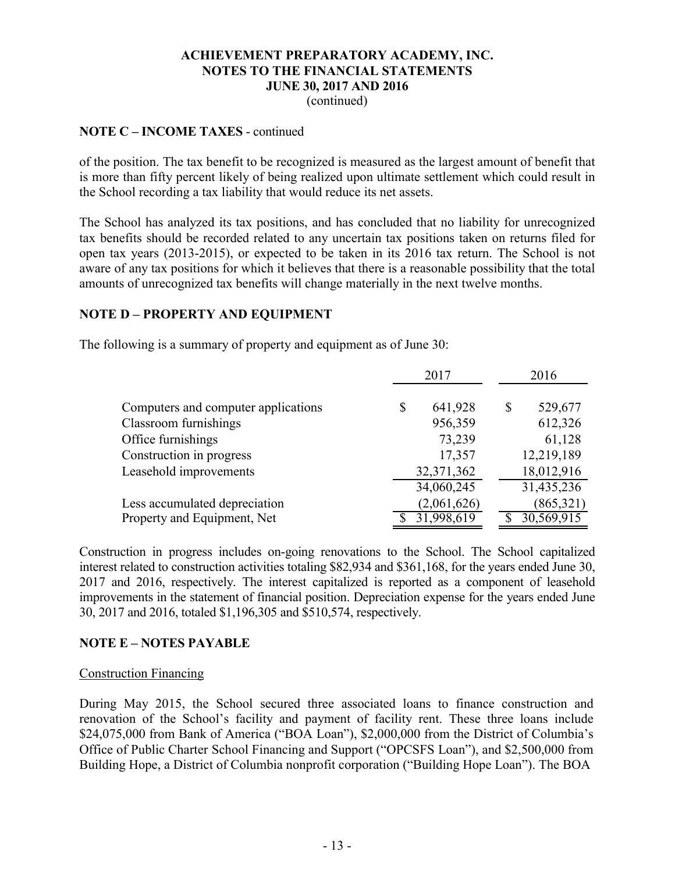(continued)

## **NOTE C – INCOME TAXES** - continued

of the position. The tax benefit to be recognized is measured as the largest amount of benefit that is more than fifty percent likely of being realized upon ultimate settlement which could result in the School recording a tax liability that would reduce its net assets.

The School has analyzed its tax positions, and has concluded that no liability for unrecognized tax benefits should be recorded related to any uncertain tax positions taken on returns filed for open tax years (2013-2015), or expected to be taken in its 2016 tax return. The School is not aware of any tax positions for which it believes that there is a reasonable possibility that the total amounts of unrecognized tax benefits will change materially in the next twelve months.

# **NOTE D – PROPERTY AND EQUIPMENT**

The following is a summary of property and equipment as of June 30:

|                                     | 2017          | 2016          |
|-------------------------------------|---------------|---------------|
| Computers and computer applications | 641,928<br>\$ | \$<br>529,677 |
| Classroom furnishings               | 956,359       | 612,326       |
| Office furnishings                  | 73,239        | 61,128        |
| Construction in progress            | 17,357        | 12,219,189    |
| Leasehold improvements              | 32, 371, 362  | 18,012,916    |
|                                     | 34,060,245    | 31,435,236    |
| Less accumulated depreciation       | (2,061,626)   | (865, 321)    |
| Property and Equipment, Net         | 31,998,619    | 30,569,915    |

Construction in progress includes on-going renovations to the School. The School capitalized interest related to construction activities totaling \$82,934 and \$361,168, for the years ended June 30, 2017 and 2016, respectively. The interest capitalized is reported as a component of leasehold improvements in the statement of financial position. Depreciation expense for the years ended June 30, 2017 and 2016, totaled \$1,196,305 and \$510,574, respectively.

# **NOTE E – NOTES PAYABLE**

### Construction Financing

During May 2015, the School secured three associated loans to finance construction and renovation of the School's facility and payment of facility rent. These three loans include \$24,075,000 from Bank of America ("BOA Loan"), \$2,000,000 from the District of Columbia's Office of Public Charter School Financing and Support ("OPCSFS Loan"), and \$2,500,000 from Building Hope, a District of Columbia nonprofit corporation ("Building Hope Loan"). The BOA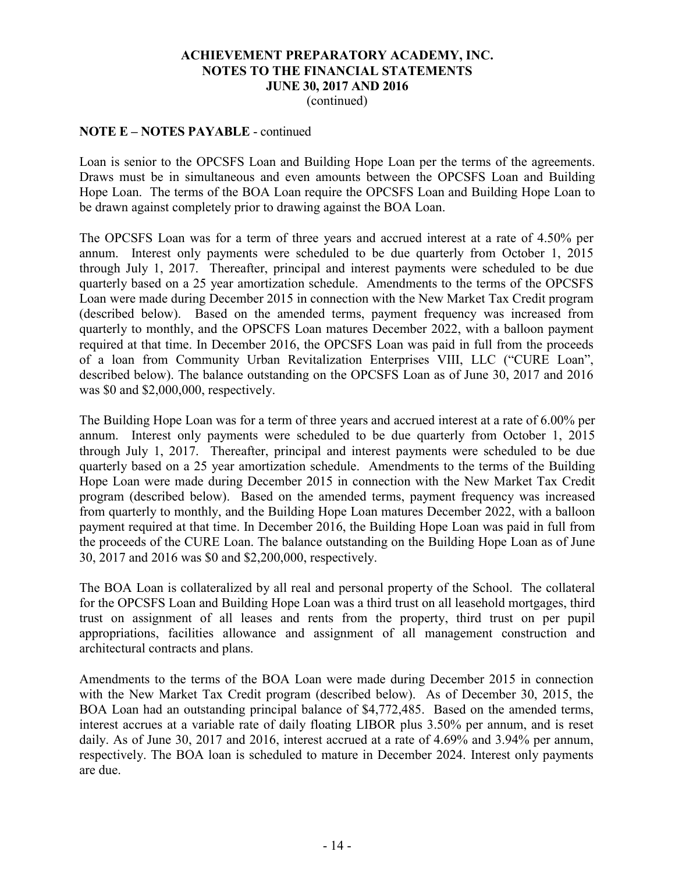(continued)

## **NOTE E – NOTES PAYABLE** - continued

Loan is senior to the OPCSFS Loan and Building Hope Loan per the terms of the agreements. Draws must be in simultaneous and even amounts between the OPCSFS Loan and Building Hope Loan. The terms of the BOA Loan require the OPCSFS Loan and Building Hope Loan to be drawn against completely prior to drawing against the BOA Loan.

The OPCSFS Loan was for a term of three years and accrued interest at a rate of 4.50% per annum. Interest only payments were scheduled to be due quarterly from October 1, 2015 through July 1, 2017. Thereafter, principal and interest payments were scheduled to be due quarterly based on a 25 year amortization schedule. Amendments to the terms of the OPCSFS Loan were made during December 2015 in connection with the New Market Tax Credit program (described below). Based on the amended terms, payment frequency was increased from quarterly to monthly, and the OPSCFS Loan matures December 2022, with a balloon payment required at that time. In December 2016, the OPCSFS Loan was paid in full from the proceeds of a loan from Community Urban Revitalization Enterprises VIII, LLC ("CURE Loan", described below). The balance outstanding on the OPCSFS Loan as of June 30, 2017 and 2016 was \$0 and \$2,000,000, respectively.

The Building Hope Loan was for a term of three years and accrued interest at a rate of 6.00% per annum. Interest only payments were scheduled to be due quarterly from October 1, 2015 through July 1, 2017. Thereafter, principal and interest payments were scheduled to be due quarterly based on a 25 year amortization schedule. Amendments to the terms of the Building Hope Loan were made during December 2015 in connection with the New Market Tax Credit program (described below). Based on the amended terms, payment frequency was increased from quarterly to monthly, and the Building Hope Loan matures December 2022, with a balloon payment required at that time. In December 2016, the Building Hope Loan was paid in full from the proceeds of the CURE Loan. The balance outstanding on the Building Hope Loan as of June 30, 2017 and 2016 was \$0 and \$2,200,000, respectively.

The BOA Loan is collateralized by all real and personal property of the School. The collateral for the OPCSFS Loan and Building Hope Loan was a third trust on all leasehold mortgages, third trust on assignment of all leases and rents from the property, third trust on per pupil appropriations, facilities allowance and assignment of all management construction and architectural contracts and plans.

Amendments to the terms of the BOA Loan were made during December 2015 in connection with the New Market Tax Credit program (described below). As of December 30, 2015, the BOA Loan had an outstanding principal balance of \$4,772,485. Based on the amended terms, interest accrues at a variable rate of daily floating LIBOR plus 3.50% per annum, and is reset daily. As of June 30, 2017 and 2016, interest accrued at a rate of 4.69% and 3.94% per annum, respectively. The BOA loan is scheduled to mature in December 2024. Interest only payments are due.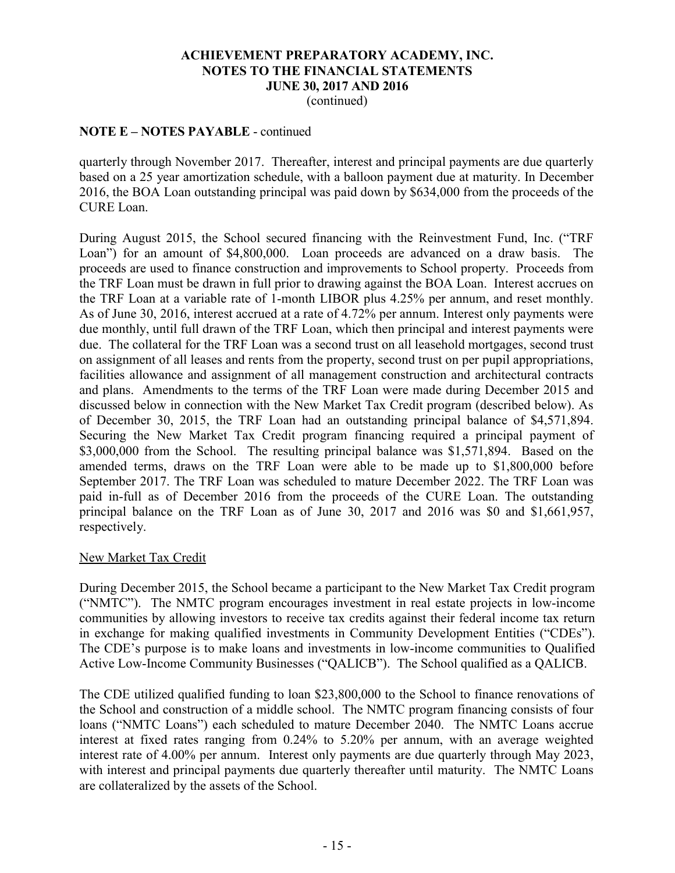## **NOTE E – NOTES PAYABLE** - continued

quarterly through November 2017. Thereafter, interest and principal payments are due quarterly based on a 25 year amortization schedule, with a balloon payment due at maturity. In December 2016, the BOA Loan outstanding principal was paid down by \$634,000 from the proceeds of the CURE Loan.

During August 2015, the School secured financing with the Reinvestment Fund, Inc. ("TRF Loan") for an amount of \$4,800,000. Loan proceeds are advanced on a draw basis. The proceeds are used to finance construction and improvements to School property. Proceeds from the TRF Loan must be drawn in full prior to drawing against the BOA Loan. Interest accrues on the TRF Loan at a variable rate of 1-month LIBOR plus 4.25% per annum, and reset monthly. As of June 30, 2016, interest accrued at a rate of 4.72% per annum. Interest only payments were due monthly, until full drawn of the TRF Loan, which then principal and interest payments were due. The collateral for the TRF Loan was a second trust on all leasehold mortgages, second trust on assignment of all leases and rents from the property, second trust on per pupil appropriations, facilities allowance and assignment of all management construction and architectural contracts and plans. Amendments to the terms of the TRF Loan were made during December 2015 and discussed below in connection with the New Market Tax Credit program (described below). As of December 30, 2015, the TRF Loan had an outstanding principal balance of \$4,571,894. Securing the New Market Tax Credit program financing required a principal payment of \$3,000,000 from the School. The resulting principal balance was \$1,571,894. Based on the amended terms, draws on the TRF Loan were able to be made up to \$1,800,000 before September 2017. The TRF Loan was scheduled to mature December 2022. The TRF Loan was paid in-full as of December 2016 from the proceeds of the CURE Loan. The outstanding principal balance on the TRF Loan as of June 30, 2017 and 2016 was \$0 and \$1,661,957, respectively.

### New Market Tax Credit

During December 2015, the School became a participant to the New Market Tax Credit program ("NMTC"). The NMTC program encourages investment in real estate projects in low-income communities by allowing investors to receive tax credits against their federal income tax return in exchange for making qualified investments in Community Development Entities ("CDEs"). The CDE's purpose is to make loans and investments in low-income communities to Qualified Active Low-Income Community Businesses ("QALICB"). The School qualified as a QALICB.

The CDE utilized qualified funding to loan \$23,800,000 to the School to finance renovations of the School and construction of a middle school. The NMTC program financing consists of four loans ("NMTC Loans") each scheduled to mature December 2040. The NMTC Loans accrue interest at fixed rates ranging from 0.24% to 5.20% per annum, with an average weighted interest rate of 4.00% per annum. Interest only payments are due quarterly through May 2023, with interest and principal payments due quarterly thereafter until maturity. The NMTC Loans are collateralized by the assets of the School.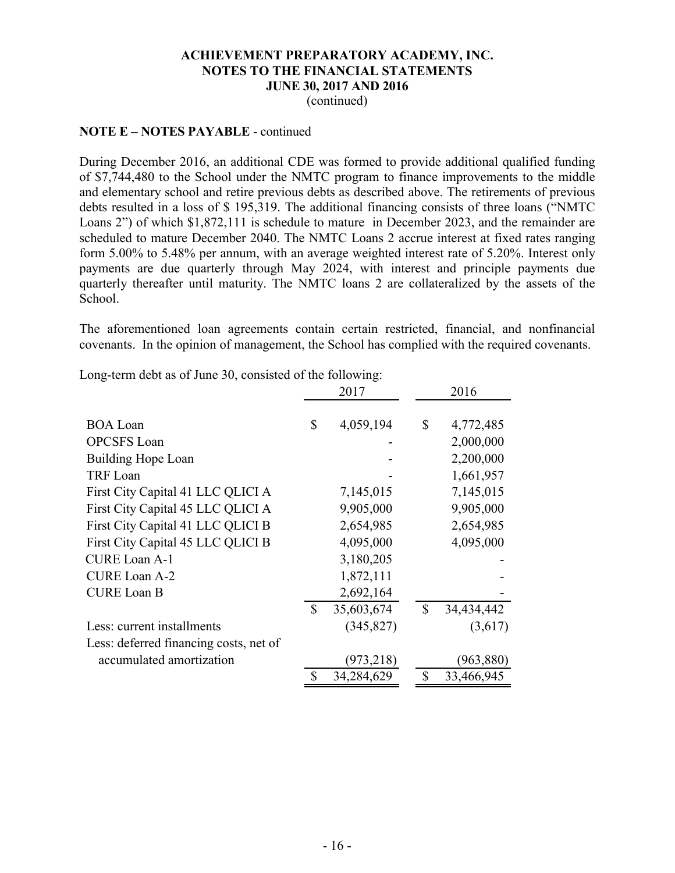(continued)

## **NOTE E – NOTES PAYABLE** - continued

During December 2016, an additional CDE was formed to provide additional qualified funding of \$7,744,480 to the School under the NMTC program to finance improvements to the middle and elementary school and retire previous debts as described above. The retirements of previous debts resulted in a loss of \$ 195,319. The additional financing consists of three loans ("NMTC Loans 2") of which \$1,872,111 is schedule to mature in December 2023, and the remainder are scheduled to mature December 2040. The NMTC Loans 2 accrue interest at fixed rates ranging form 5.00% to 5.48% per annum, with an average weighted interest rate of 5.20%. Interest only payments are due quarterly through May 2024, with interest and principle payments due quarterly thereafter until maturity. The NMTC loans 2 are collateralized by the assets of the School.

The aforementioned loan agreements contain certain restricted, financial, and nonfinancial covenants. In the opinion of management, the School has complied with the required covenants.

Long-term debt as of June 30, consisted of the following:

|                                        |               | 2017       |              | 2016       |  |  |
|----------------------------------------|---------------|------------|--------------|------------|--|--|
|                                        |               |            |              |            |  |  |
| <b>BOA Loan</b>                        | \$            | 4,059,194  | \$           | 4,772,485  |  |  |
| <b>OPCSFS Loan</b>                     |               |            |              | 2,000,000  |  |  |
| Building Hope Loan                     |               |            |              | 2,200,000  |  |  |
| TRF Loan                               |               |            |              | 1,661,957  |  |  |
| First City Capital 41 LLC QLICI A      |               | 7,145,015  |              | 7,145,015  |  |  |
| First City Capital 45 LLC QLICI A      |               | 9,905,000  |              | 9,905,000  |  |  |
| First City Capital 41 LLC QLICI B      |               | 2,654,985  |              | 2,654,985  |  |  |
| First City Capital 45 LLC QLICI B      |               | 4,095,000  |              | 4,095,000  |  |  |
| <b>CURE</b> Loan A-1                   |               | 3,180,205  |              |            |  |  |
| <b>CURE Loan A-2</b>                   |               | 1,872,111  |              |            |  |  |
| <b>CURE</b> Loan B                     |               | 2,692,164  |              |            |  |  |
|                                        | <sup>\$</sup> | 35,603,674 | $\mathbb{S}$ | 34,434,442 |  |  |
| Less: current installments             |               | (345, 827) |              | (3,617)    |  |  |
| Less: deferred financing costs, net of |               |            |              |            |  |  |
| accumulated amortization               |               | (973, 218) |              | (963, 880) |  |  |
|                                        | $\mathbb{S}$  | 34,284,629 | $\mathbb{S}$ | 33,466,945 |  |  |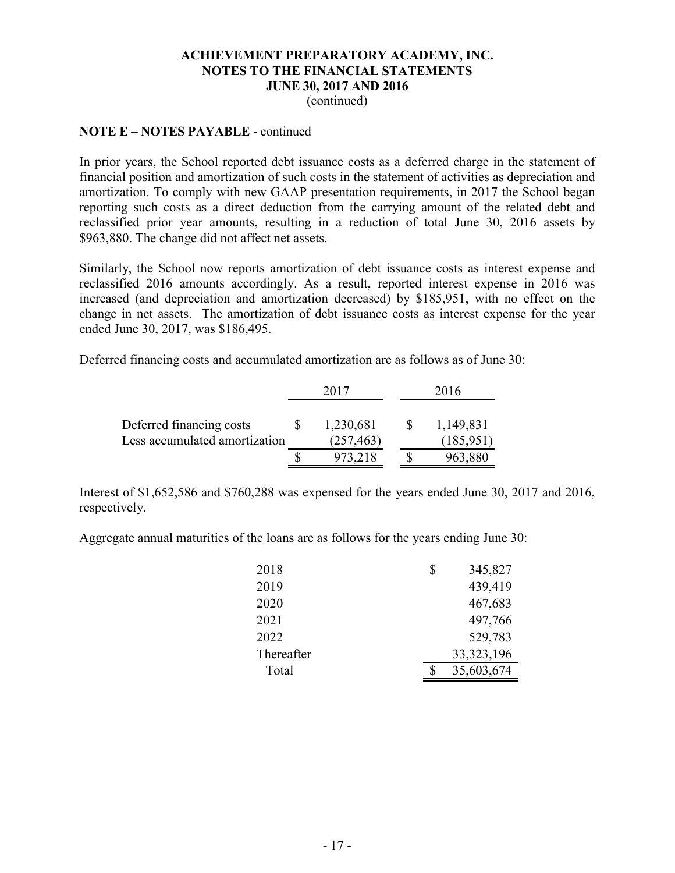(continued)

## **NOTE E – NOTES PAYABLE** - continued

In prior years, the School reported debt issuance costs as a deferred charge in the statement of financial position and amortization of such costs in the statement of activities as depreciation and amortization. To comply with new GAAP presentation requirements, in 2017 the School began reporting such costs as a direct deduction from the carrying amount of the related debt and reclassified prior year amounts, resulting in a reduction of total June 30, 2016 assets by \$963,880. The change did not affect net assets.

Similarly, the School now reports amortization of debt issuance costs as interest expense and reclassified 2016 amounts accordingly. As a result, reported interest expense in 2016 was increased (and depreciation and amortization decreased) by \$185,951, with no effect on the change in net assets. The amortization of debt issuance costs as interest expense for the year ended June 30, 2017, was \$186,495.

Deferred financing costs and accumulated amortization are as follows as of June 30:

|                                                           | 2017                    | 2016                    |
|-----------------------------------------------------------|-------------------------|-------------------------|
| Deferred financing costs<br>Less accumulated amortization | 1,230,681<br>(257, 463) | 1,149,831<br>(185, 951) |
|                                                           | 973.218                 | 963,880                 |

Interest of \$1,652,586 and \$760,288 was expensed for the years ended June 30, 2017 and 2016, respectively.

Aggregate annual maturities of the loans are as follows for the years ending June 30:

| 2018       | \$<br>345,827 |
|------------|---------------|
| 2019       | 439,419       |
| 2020       | 467,683       |
| 2021       | 497,766       |
| 2022       | 529,783       |
| Thereafter | 33, 323, 196  |
| Total      | 35,603,674    |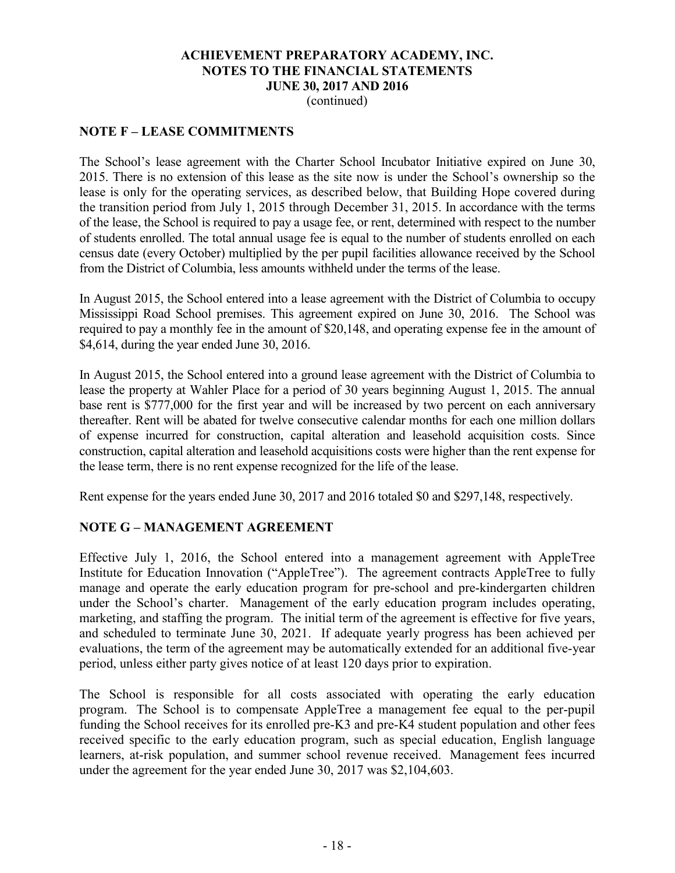(continued)

# **NOTE F – LEASE COMMITMENTS**

The School's lease agreement with the Charter School Incubator Initiative expired on June 30, 2015. There is no extension of this lease as the site now is under the School's ownership so the lease is only for the operating services, as described below, that Building Hope covered during the transition period from July 1, 2015 through December 31, 2015. In accordance with the terms of the lease, the School is required to pay a usage fee, or rent, determined with respect to the number of students enrolled. The total annual usage fee is equal to the number of students enrolled on each census date (every October) multiplied by the per pupil facilities allowance received by the School from the District of Columbia, less amounts withheld under the terms of the lease.

In August 2015, the School entered into a lease agreement with the District of Columbia to occupy Mississippi Road School premises. This agreement expired on June 30, 2016. The School was required to pay a monthly fee in the amount of \$20,148, and operating expense fee in the amount of \$4,614, during the year ended June 30, 2016.

In August 2015, the School entered into a ground lease agreement with the District of Columbia to lease the property at Wahler Place for a period of 30 years beginning August 1, 2015. The annual base rent is \$777,000 for the first year and will be increased by two percent on each anniversary thereafter. Rent will be abated for twelve consecutive calendar months for each one million dollars of expense incurred for construction, capital alteration and leasehold acquisition costs. Since construction, capital alteration and leasehold acquisitions costs were higher than the rent expense for the lease term, there is no rent expense recognized for the life of the lease.

Rent expense for the years ended June 30, 2017 and 2016 totaled \$0 and \$297,148, respectively.

# **NOTE G – MANAGEMENT AGREEMENT**

Effective July 1, 2016, the School entered into a management agreement with AppleTree Institute for Education Innovation ("AppleTree"). The agreement contracts AppleTree to fully manage and operate the early education program for pre-school and pre-kindergarten children under the School's charter. Management of the early education program includes operating, marketing, and staffing the program. The initial term of the agreement is effective for five years, and scheduled to terminate June 30, 2021. If adequate yearly progress has been achieved per evaluations, the term of the agreement may be automatically extended for an additional five-year period, unless either party gives notice of at least 120 days prior to expiration.

The School is responsible for all costs associated with operating the early education program. The School is to compensate AppleTree a management fee equal to the per-pupil funding the School receives for its enrolled pre-K3 and pre-K4 student population and other fees received specific to the early education program, such as special education, English language learners, at-risk population, and summer school revenue received. Management fees incurred under the agreement for the year ended June 30, 2017 was \$2,104,603.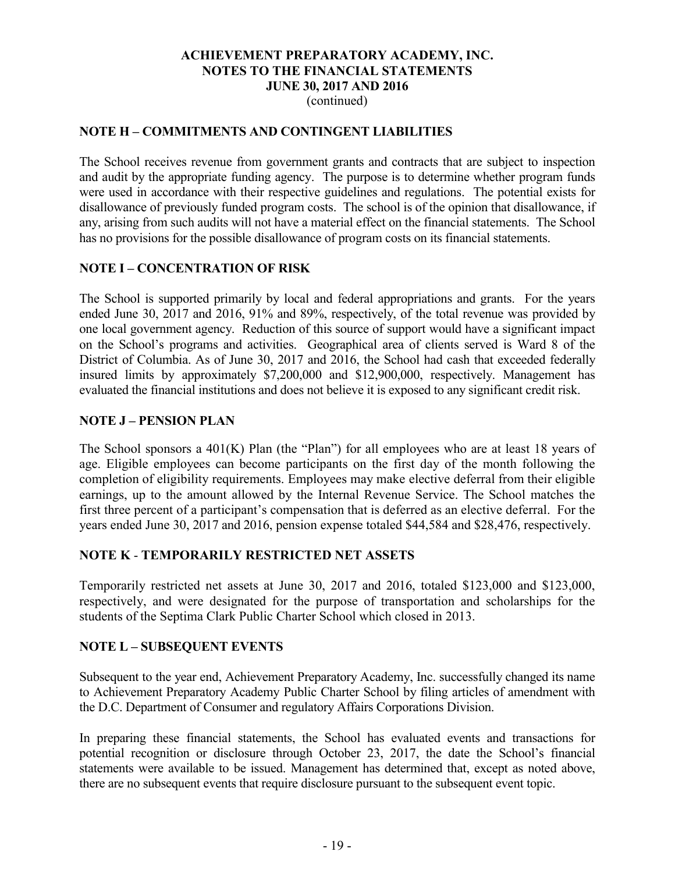### **NOTE H – COMMITMENTS AND CONTINGENT LIABILITIES**

The School receives revenue from government grants and contracts that are subject to inspection and audit by the appropriate funding agency. The purpose is to determine whether program funds were used in accordance with their respective guidelines and regulations. The potential exists for disallowance of previously funded program costs. The school is of the opinion that disallowance, if any, arising from such audits will not have a material effect on the financial statements. The School has no provisions for the possible disallowance of program costs on its financial statements.

# **NOTE I – CONCENTRATION OF RISK**

The School is supported primarily by local and federal appropriations and grants. For the years ended June 30, 2017 and 2016, 91% and 89%, respectively, of the total revenue was provided by one local government agency. Reduction of this source of support would have a significant impact on the School's programs and activities. Geographical area of clients served is Ward 8 of the District of Columbia. As of June 30, 2017 and 2016, the School had cash that exceeded federally insured limits by approximately \$7,200,000 and \$12,900,000, respectively. Management has evaluated the financial institutions and does not believe it is exposed to any significant credit risk.

# **NOTE J – PENSION PLAN**

The School sponsors a 401(K) Plan (the "Plan") for all employees who are at least 18 years of age. Eligible employees can become participants on the first day of the month following the completion of eligibility requirements. Employees may make elective deferral from their eligible earnings, up to the amount allowed by the Internal Revenue Service. The School matches the first three percent of a participant's compensation that is deferred as an elective deferral. For the years ended June 30, 2017 and 2016, pension expense totaled \$44,584 and \$28,476, respectively.

# **NOTE K** - **TEMPORARILY RESTRICTED NET ASSETS**

Temporarily restricted net assets at June 30, 2017 and 2016, totaled \$123,000 and \$123,000, respectively, and were designated for the purpose of transportation and scholarships for the students of the Septima Clark Public Charter School which closed in 2013.

# **NOTE L – SUBSEQUENT EVENTS**

Subsequent to the year end, Achievement Preparatory Academy, Inc. successfully changed its name to Achievement Preparatory Academy Public Charter School by filing articles of amendment with the D.C. Department of Consumer and regulatory Affairs Corporations Division.

In preparing these financial statements, the School has evaluated events and transactions for potential recognition or disclosure through October 23, 2017, the date the School's financial statements were available to be issued. Management has determined that, except as noted above, there are no subsequent events that require disclosure pursuant to the subsequent event topic.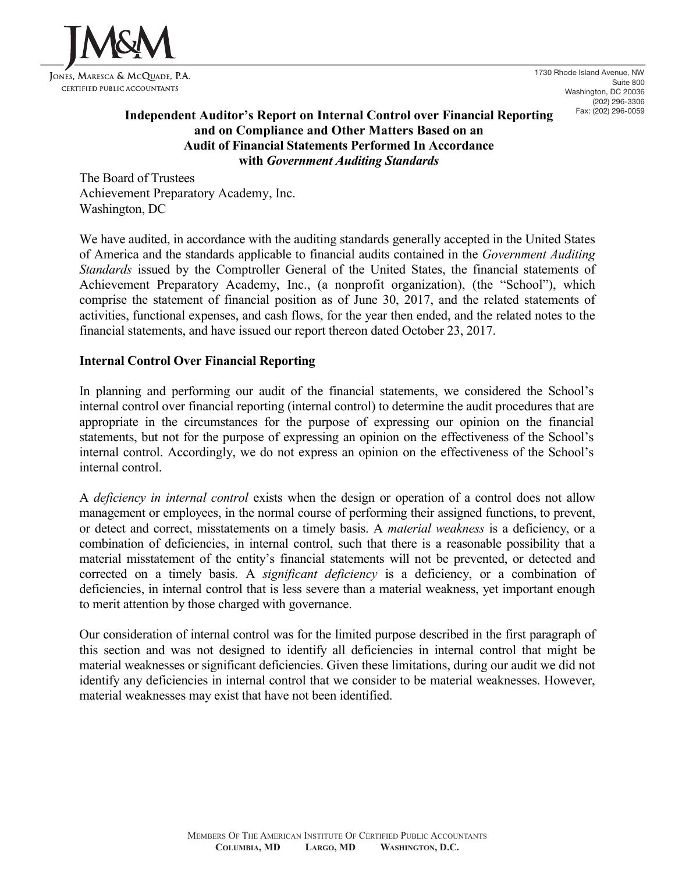

1730 Rhode Island Avenue, NW Suite 800 Washington, DC 20036 (202) 296-3306 Fax: (202) 296-0059

# **Independent Auditor's Report on Internal Control over Financial Reporting and on Compliance and Other Matters Based on an Audit of Financial Statements Performed In Accordance with** *Government Auditing Standards*

The Board of Trustees Achievement Preparatory Academy, Inc. Washington, DC

We have audited, in accordance with the auditing standards generally accepted in the United States of America and the standards applicable to financial audits contained in the *Government Auditing Standards* issued by the Comptroller General of the United States, the financial statements of Achievement Preparatory Academy, Inc., (a nonprofit organization), (the "School"), which comprise the statement of financial position as of June 30, 2017, and the related statements of activities, functional expenses, and cash flows, for the year then ended, and the related notes to the financial statements, and have issued our report thereon dated October 23, 2017.

# **Internal Control Over Financial Reporting**

In planning and performing our audit of the financial statements, we considered the School's internal control over financial reporting (internal control) to determine the audit procedures that are appropriate in the circumstances for the purpose of expressing our opinion on the financial statements, but not for the purpose of expressing an opinion on the effectiveness of the School's internal control. Accordingly, we do not express an opinion on the effectiveness of the School's internal control.

A *deficiency in internal control* exists when the design or operation of a control does not allow management or employees, in the normal course of performing their assigned functions, to prevent, or detect and correct, misstatements on a timely basis. A *material weakness* is a deficiency, or a combination of deficiencies, in internal control, such that there is a reasonable possibility that a material misstatement of the entity's financial statements will not be prevented, or detected and corrected on a timely basis. A *significant deficiency* is a deficiency, or a combination of deficiencies, in internal control that is less severe than a material weakness, yet important enough to merit attention by those charged with governance.

Our consideration of internal control was for the limited purpose described in the first paragraph of this section and was not designed to identify all deficiencies in internal control that might be material weaknesses or significant deficiencies. Given these limitations, during our audit we did not identify any deficiencies in internal control that we consider to be material weaknesses. However, material weaknesses may exist that have not been identified.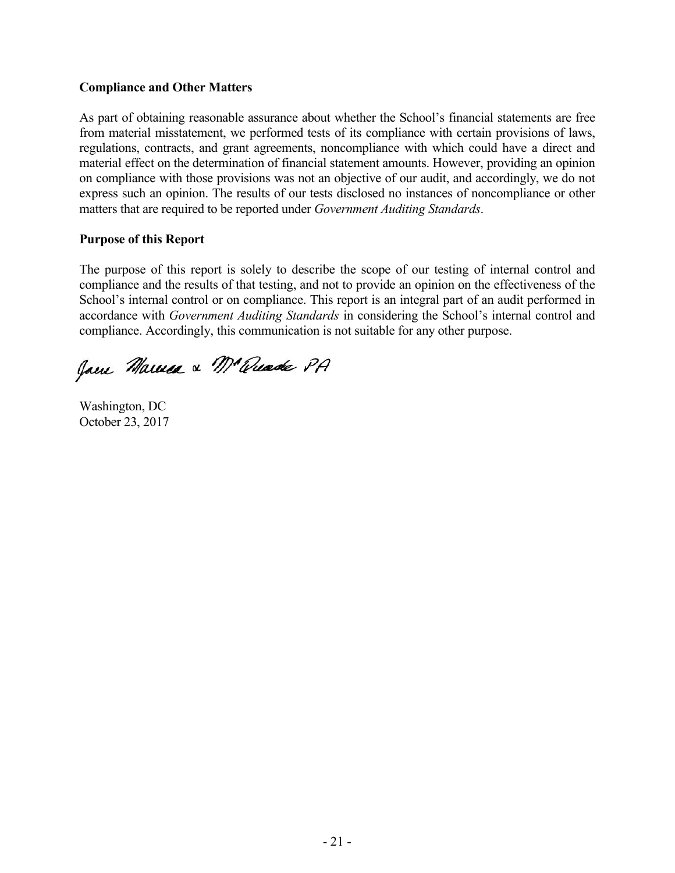# **Compliance and Other Matters**

As part of obtaining reasonable assurance about whether the School's financial statements are free from material misstatement, we performed tests of its compliance with certain provisions of laws, regulations, contracts, and grant agreements, noncompliance with which could have a direct and material effect on the determination of financial statement amounts. However, providing an opinion on compliance with those provisions was not an objective of our audit, and accordingly, we do not express such an opinion. The results of our tests disclosed no instances of noncompliance or other matters that are required to be reported under *Government Auditing Standards*.

# **Purpose of this Report**

The purpose of this report is solely to describe the scope of our testing of internal control and compliance and the results of that testing, and not to provide an opinion on the effectiveness of the School's internal control or on compliance. This report is an integral part of an audit performed in accordance with *Government Auditing Standards* in considering the School's internal control and compliance. Accordingly, this communication is not suitable for any other purpose.

Jam Marma & Mc Quade PA

Washington, DC October 23, 2017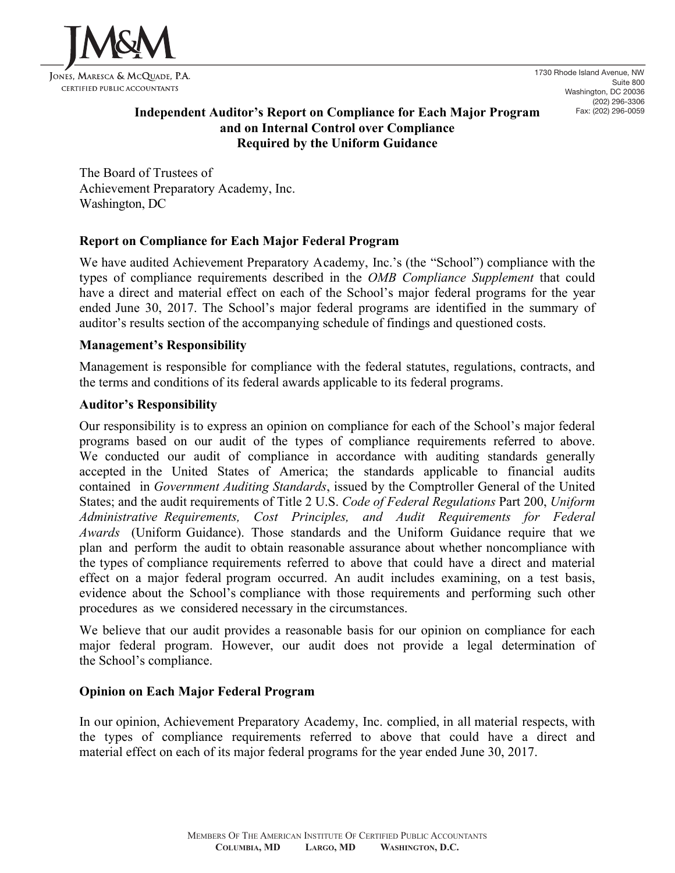

1730 Rhode Island Avenue, NW Suite 800 Washington, DC 20036 (202) 296-3306 Fax: (202) 296-0059

# **Independent Auditor's Report on Compliance for Each Major Program and on Internal Control over Compliance Required by the Uniform Guidance**

The Board of Trustees of Achievement Preparatory Academy, Inc. Washington, DC

# **Report on Compliance for Each Major Federal Program**

We have audited Achievement Preparatory Academy, Inc.'s (the "School") compliance with the types of compliance requirements described in the *OMB Compliance Supplement* that could have a direct and material effect on each of the School's major federal programs for the year ended June 30, 2017. The School's major federal programs are identified in the summary of auditor's results section of the accompanying schedule of findings and questioned costs.

# **Management's Responsibility**

Management is responsible for compliance with the federal statutes, regulations, contracts, and the terms and conditions of its federal awards applicable to its federal programs.

### **Auditor's Responsibility**

Our responsibility is to express an opinion on compliance for each of the School's major federal programs based on our audit of the types of compliance requirements referred to above. We conducted our audit of compliance in accordance with auditing standards generally accepted in the United States of America; the standards applicable to financial audits contained in *Government Auditing Standards*, issued by the Comptroller General of the United States; and the audit requirements of Title 2 U.S. *Code of Federal Regulations* Part 200, *Uniform Administrative Requirements, Cost Principles, and Audit Requirements for Federal Awards* (Uniform Guidance). Those standards and the Uniform Guidance require that we plan and perform the audit to obtain reasonable assurance about whether noncompliance with the types of compliance requirements referred to above that could have a direct and material effect on a major federal program occurred. An audit includes examining, on a test basis, evidence about the School's compliance with those requirements and performing such other procedures as we considered necessary in the circumstances.

We believe that our audit provides a reasonable basis for our opinion on compliance for each major federal program. However, our audit does not provide a legal determination of the School's compliance.

# **Opinion on Each Major Federal Program**

In our opinion, Achievement Preparatory Academy, Inc. complied, in all material respects, with the types of compliance requirements referred to above that could have a direct and material effect on each of its major federal programs for the year ended June 30, 2017.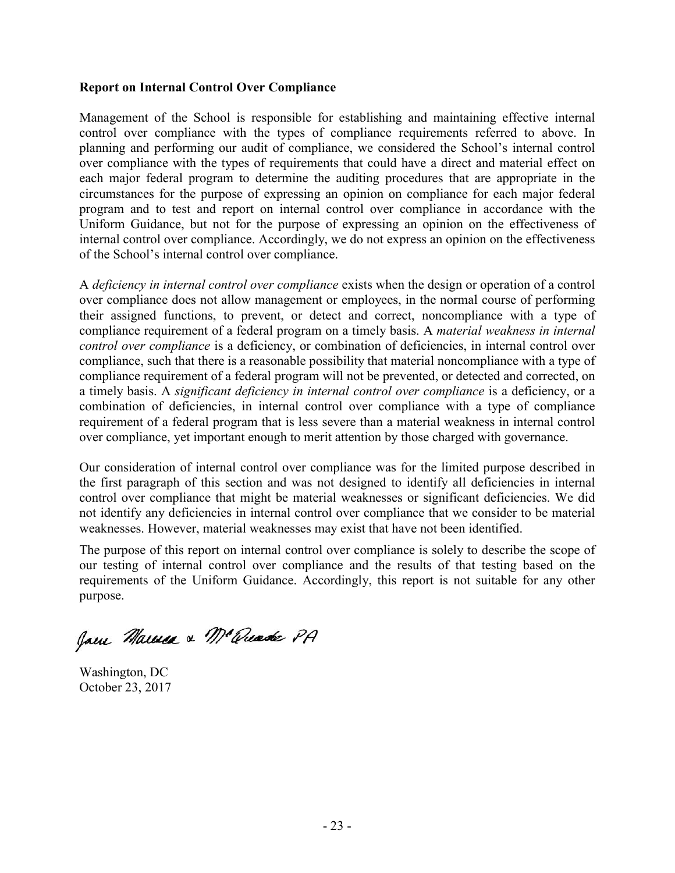# **Report on Internal Control Over Compliance**

Management of the School is responsible for establishing and maintaining effective internal control over compliance with the types of compliance requirements referred to above. In planning and performing our audit of compliance, we considered the School's internal control over compliance with the types of requirements that could have a direct and material effect on each major federal program to determine the auditing procedures that are appropriate in the circumstances for the purpose of expressing an opinion on compliance for each major federal program and to test and report on internal control over compliance in accordance with the Uniform Guidance, but not for the purpose of expressing an opinion on the effectiveness of internal control over compliance. Accordingly, we do not express an opinion on the effectiveness of the School's internal control over compliance.

A *deficiency in internal control over compliance* exists when the design or operation of a control over compliance does not allow management or employees, in the normal course of performing their assigned functions, to prevent, or detect and correct, noncompliance with a type of compliance requirement of a federal program on a timely basis. A *material weakness in internal control over compliance* is a deficiency, or combination of deficiencies, in internal control over compliance, such that there is a reasonable possibility that material noncompliance with a type of compliance requirement of a federal program will not be prevented, or detected and corrected, on a timely basis. A *significant deficiency in internal control over compliance* is a deficiency, or a combination of deficiencies, in internal control over compliance with a type of compliance requirement of a federal program that is less severe than a material weakness in internal control over compliance, yet important enough to merit attention by those charged with governance.

Our consideration of internal control over compliance was for the limited purpose described in the first paragraph of this section and was not designed to identify all deficiencies in internal control over compliance that might be material weaknesses or significant deficiencies. We did not identify any deficiencies in internal control over compliance that we consider to be material weaknesses. However, material weaknesses may exist that have not been identified.

The purpose of this report on internal control over compliance is solely to describe the scope of our testing of internal control over compliance and the results of that testing based on the requirements of the Uniform Guidance. Accordingly, this report is not suitable for any other purpose.

Jam Marcia & Mc Quade PA

Washington, DC October 23, 2017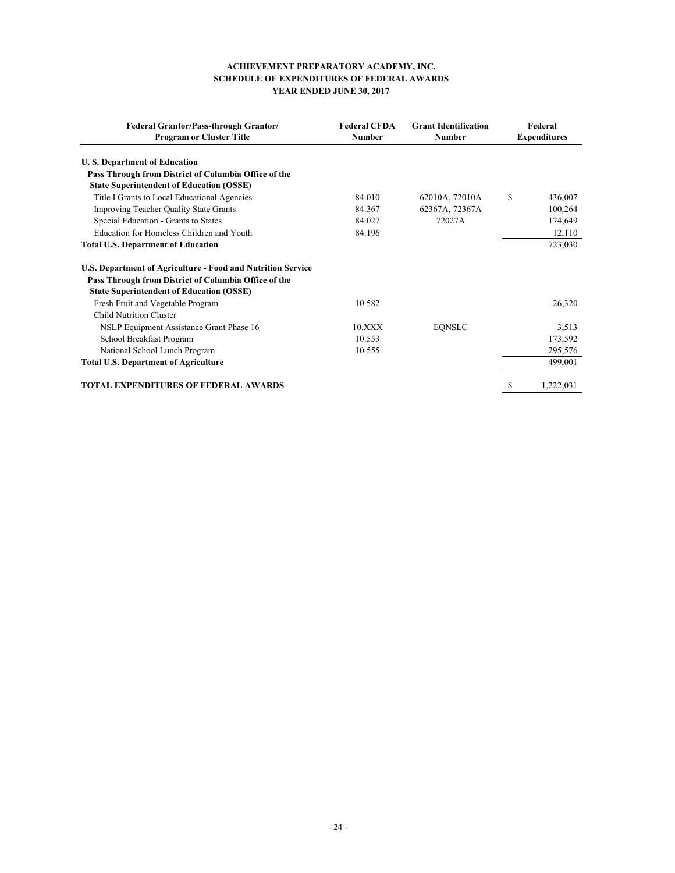#### **YEAR ENDED JUNE 30, 2017 ACHIEVEMENT PREPARATORY ACADEMY, INC. SCHEDULE OF EXPENDITURES OF FEDERAL AWARDS**

| <b>Federal Grantor/Pass-through Grantor/</b><br><b>Program or Cluster Title</b> | <b>Federal CFDA</b><br><b>Number</b> | <b>Grant Identification</b><br><b>Number</b> | Federal<br><b>Expenditures</b> |           |  |
|---------------------------------------------------------------------------------|--------------------------------------|----------------------------------------------|--------------------------------|-----------|--|
| <b>U.S. Department of Education</b>                                             |                                      |                                              |                                |           |  |
| Pass Through from District of Columbia Office of the                            |                                      |                                              |                                |           |  |
| <b>State Superintendent of Education (OSSE)</b>                                 |                                      |                                              |                                |           |  |
| Title I Grants to Local Educational Agencies                                    | 84.010                               | 62010A, 72010A                               | \$                             | 436,007   |  |
| <b>Improving Teacher Quality State Grants</b>                                   | 84.367                               | 62367A, 72367A                               |                                | 100,264   |  |
| Special Education - Grants to States                                            | 84.027                               | 72027A                                       |                                | 174,649   |  |
| Education for Homeless Children and Youth                                       | 84.196                               |                                              |                                | 12,110    |  |
| <b>Total U.S. Department of Education</b>                                       |                                      |                                              |                                | 723,030   |  |
| U.S. Department of Agriculture - Food and Nutrition Service                     |                                      |                                              |                                |           |  |
| Pass Through from District of Columbia Office of the                            |                                      |                                              |                                |           |  |
| <b>State Superintendent of Education (OSSE)</b>                                 |                                      |                                              |                                |           |  |
| Fresh Fruit and Vegetable Program                                               | 10.582                               |                                              |                                | 26,320    |  |
| <b>Child Nutrition Cluster</b>                                                  |                                      |                                              |                                |           |  |
| NSLP Equipment Assistance Grant Phase 16                                        | 10.XXX                               | <b>EQNSLC</b>                                |                                | 3,513     |  |
| School Breakfast Program                                                        | 10.553                               |                                              |                                | 173,592   |  |
| National School Lunch Program                                                   | 10.555                               |                                              |                                | 295,576   |  |
| <b>Total U.S. Department of Agriculture</b>                                     |                                      |                                              |                                | 499,001   |  |
| <b>TOTAL EXPENDITURES OF FEDERAL AWARDS</b>                                     |                                      |                                              |                                | 1,222,031 |  |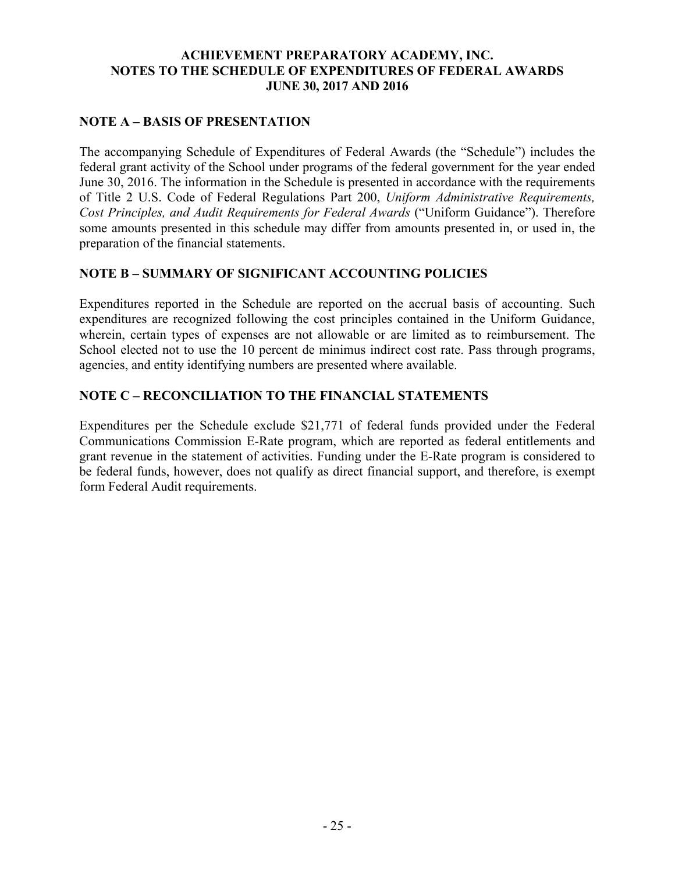# **ACHIEVEMENT PREPARATORY ACADEMY, INC. NOTES TO THE SCHEDULE OF EXPENDITURES OF FEDERAL AWARDS JUNE 30, 2017 AND 2016**

# **NOTE A – BASIS OF PRESENTATION**

The accompanying Schedule of Expenditures of Federal Awards (the "Schedule") includes the federal grant activity of the School under programs of the federal government for the year ended June 30, 2016. The information in the Schedule is presented in accordance with the requirements of Title 2 U.S. Code of Federal Regulations Part 200, *Uniform Administrative Requirements, Cost Principles, and Audit Requirements for Federal Awards* ("Uniform Guidance"). Therefore some amounts presented in this schedule may differ from amounts presented in, or used in, the preparation of the financial statements.

# **NOTE B – SUMMARY OF SIGNIFICANT ACCOUNTING POLICIES**

Expenditures reported in the Schedule are reported on the accrual basis of accounting. Such expenditures are recognized following the cost principles contained in the Uniform Guidance, wherein, certain types of expenses are not allowable or are limited as to reimbursement. The School elected not to use the 10 percent de minimus indirect cost rate. Pass through programs, agencies, and entity identifying numbers are presented where available.

# **NOTE C – RECONCILIATION TO THE FINANCIAL STATEMENTS**

Expenditures per the Schedule exclude \$21,771 of federal funds provided under the Federal Communications Commission E-Rate program, which are reported as federal entitlements and grant revenue in the statement of activities. Funding under the E-Rate program is considered to be federal funds, however, does not qualify as direct financial support, and therefore, is exempt form Federal Audit requirements.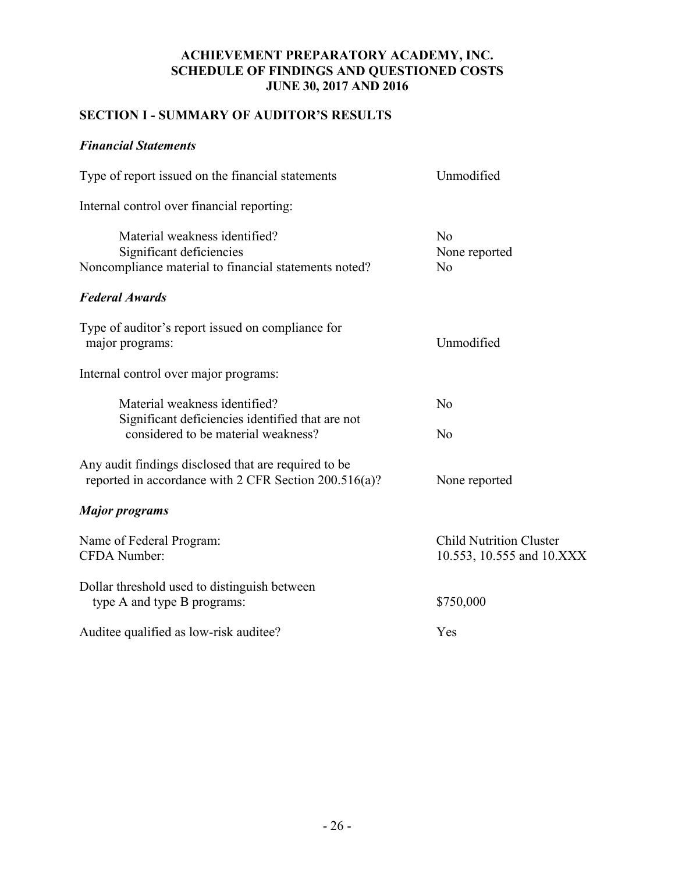# **ACHIEVEMENT PREPARATORY ACADEMY, INC. SCHEDULE OF FINDINGS AND QUESTIONED COSTS JUNE 30, 2017 AND 2016**

# **SECTION I - SUMMARY OF AUDITOR'S RESULTS**

# *Financial Statements*

| Type of report issued on the financial statements                                                                        | Unmodified                                                  |
|--------------------------------------------------------------------------------------------------------------------------|-------------------------------------------------------------|
| Internal control over financial reporting:                                                                               |                                                             |
| Material weakness identified?<br>Significant deficiencies<br>Noncompliance material to financial statements noted?       | No<br>None reported<br>N <sub>o</sub>                       |
| <b>Federal Awards</b>                                                                                                    |                                                             |
| Type of auditor's report issued on compliance for<br>major programs:                                                     | Unmodified                                                  |
| Internal control over major programs:                                                                                    |                                                             |
| Material weakness identified?<br>Significant deficiencies identified that are not<br>considered to be material weakness? | No<br>N <sub>o</sub>                                        |
|                                                                                                                          |                                                             |
| Any audit findings disclosed that are required to be<br>reported in accordance with 2 CFR Section 200.516(a)?            | None reported                                               |
| <b>Major programs</b>                                                                                                    |                                                             |
| Name of Federal Program:<br><b>CFDA Number:</b>                                                                          | <b>Child Nutrition Cluster</b><br>10.553, 10.555 and 10.XXX |
| Dollar threshold used to distinguish between<br>type A and type B programs:                                              | \$750,000                                                   |
| Auditee qualified as low-risk auditee?                                                                                   | Yes                                                         |